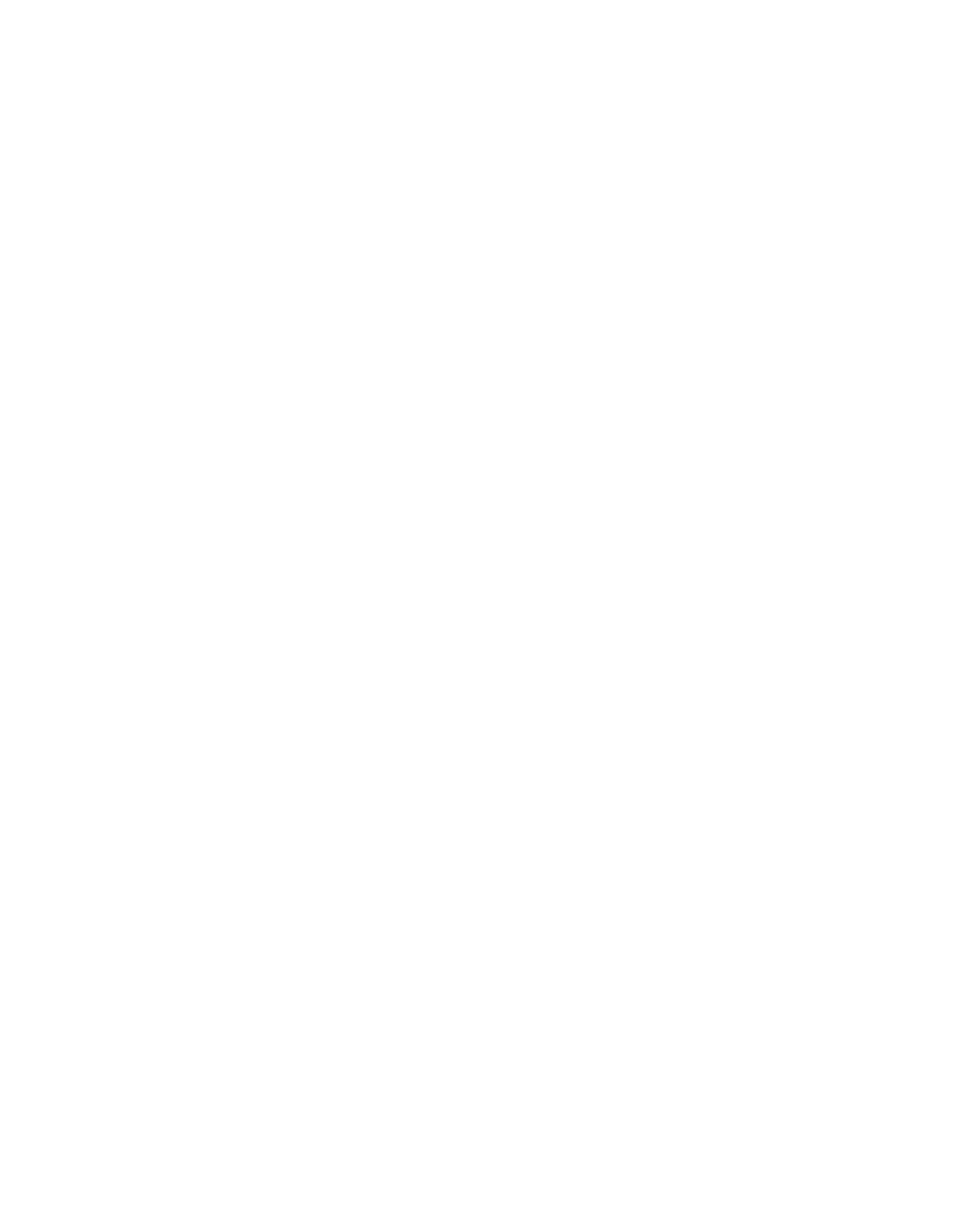



**Review of Community-Based Management of Acute Malnutrition Implementation in Burkina Faso**

**November 8–18, 2009**

Hedwig Deconinck Serigne Diene Paluku Bahwere

November 2010

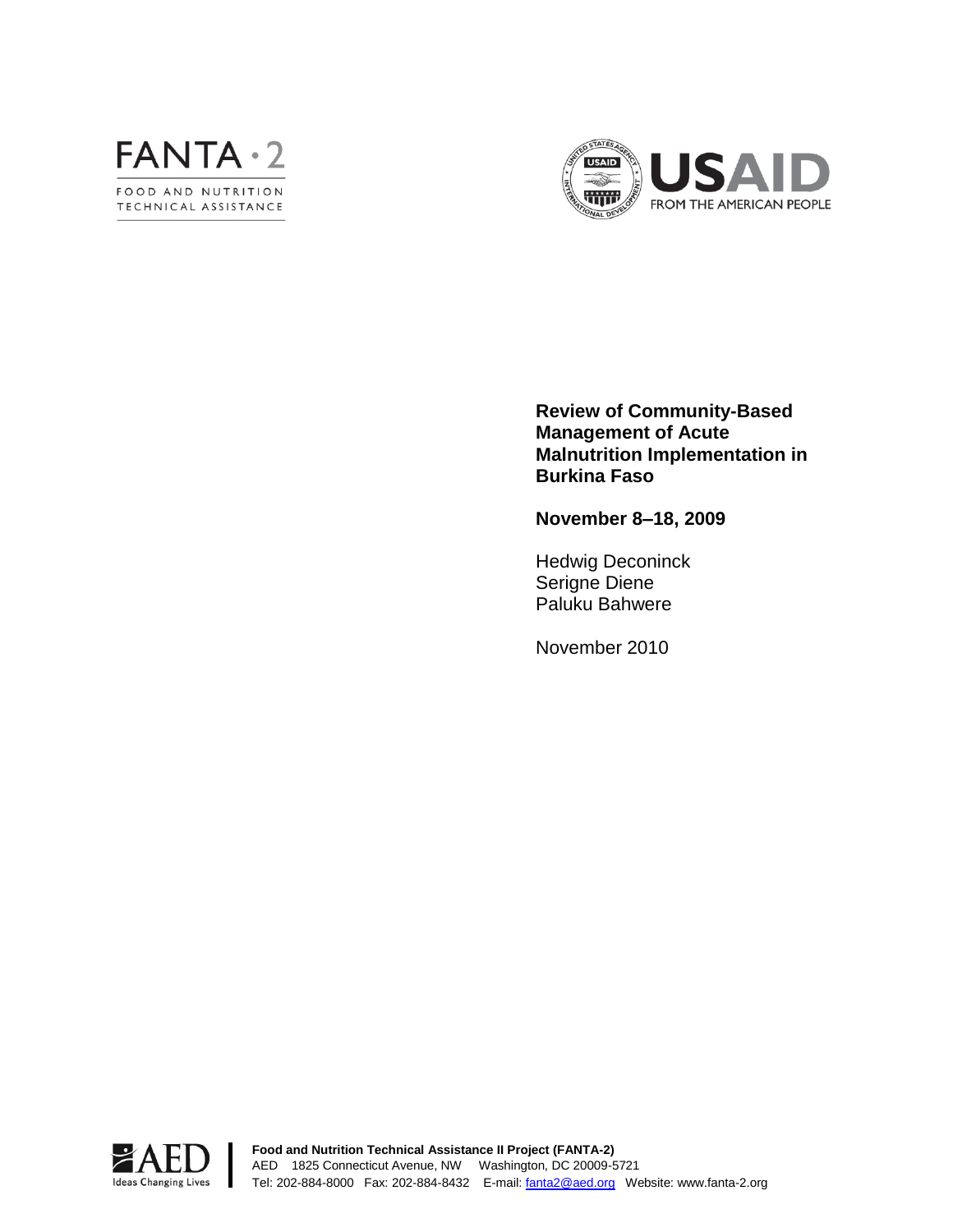This report is made possible by the generous support of the American people through the support of the Office of Health, Infectious Diseases, and Nutrition, Bureau for Global Health, and the Office of U.S. Foreign Disaster Assistance, Bureau for Democracy, Conflict, and Humanitarian Assistance, United States Agency for International Development (USAID), under terms of Cooperative Agreement No. GHN-A-00- 08-00001-00, through the Food and Nutrition Technical Assistance II Project (FANTA-2), managed by AED.

The contents are the responsibility of AED and do not necessarily reflect the views of USAID or the United States Government.

Published November 2010

#### **Recommended Citation:**

Deconinck, Hedwig; Serigne Diene, and Paluku Bahwere. *Review of Community-Based Management of Acute Malnutrition Implementation in Burkina Faso, November 8–18, 2009.* Washington, D.C.: Food and Nutrition Technical Assistance II Project (FANTA-2), AED, 2010.

#### **Contact information:**

Food and Nutrition Technical Assistance II Project (FANTA-2) AED 1825 Connecticut Avenue, NW Washington, D.C. 20009-5721 Tel: 202-884-8000 Fax: 202-884-8432 Email: fanta2@aed.org Website: www.fanta-2.org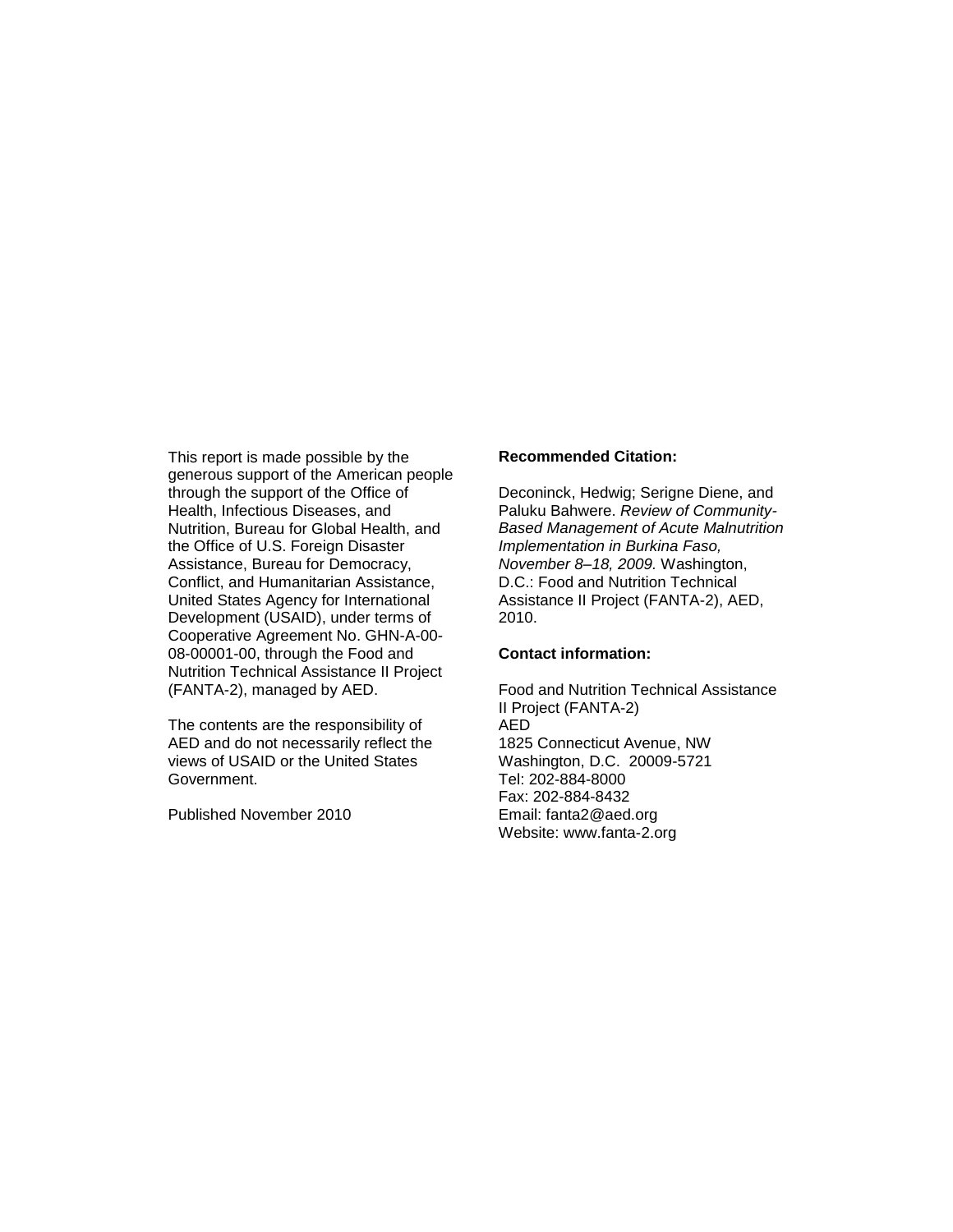# **Table of Contents**

| 1. |     |                |                                                                                    |  |  |
|----|-----|----------------|------------------------------------------------------------------------------------|--|--|
|    | 1.1 |                |                                                                                    |  |  |
|    | 1.2 |                |                                                                                    |  |  |
|    | 1.3 |                |                                                                                    |  |  |
|    |     |                |                                                                                    |  |  |
| 2. |     |                |                                                                                    |  |  |
|    | 2.1 |                |                                                                                    |  |  |
|    |     | 2.1.1          |                                                                                    |  |  |
|    |     | 2.1.2<br>2.1.3 | CMAM Integration into National Health and Nutrition Policies and Strategic Plans 4 |  |  |
|    |     |                |                                                                                    |  |  |
|    |     | 2.1.4          |                                                                                    |  |  |
|    |     | 2.1.5<br>2.1.6 |                                                                                    |  |  |
|    |     | 2.1.7          |                                                                                    |  |  |
|    |     | 2.1.8          |                                                                                    |  |  |
|    |     | 2.1.9          |                                                                                    |  |  |
|    |     | 2.1.10         |                                                                                    |  |  |
|    | 2.2 |                |                                                                                    |  |  |
|    |     | 2.2.1          |                                                                                    |  |  |
|    |     | 2.2.2          |                                                                                    |  |  |
|    |     | 2.2.3          |                                                                                    |  |  |
|    |     | 2.2.4          | Peer Exchange of Information and Interactive Learning Forums 10                    |  |  |
|    |     | 2.2.5          |                                                                                    |  |  |
|    | 2.3 |                |                                                                                    |  |  |
|    |     | 2.3.1          | Initial Implementation of Learning Sites and Gradual Scale-Up of CMAM Services 11  |  |  |
|    |     | 2.3.2          | Community Outreach for Community Assessment and Mobilization, Active Case-         |  |  |
|    |     |                |                                                                                    |  |  |
|    |     | 2.3.3          | Expanded Outpatient Care in Decentralized Health Facilities  12                    |  |  |
|    |     | 2.3.4          | Inpatient Care in Health Facilities with 24-Hour Care Capacity  13                 |  |  |
|    |     | 2.3.5          |                                                                                    |  |  |
|    |     | 2.3.6          |                                                                                    |  |  |
|    |     | 2.3.7          | CMAM Integration into Routine Health and Nutrition Services  14                    |  |  |
|    |     | 2.3.8          | CMAM Linkages with Informal Health Systems: Traditional Healers and Birth          |  |  |
|    |     | 2.3.9          |                                                                                    |  |  |
|    |     |                |                                                                                    |  |  |
|    |     | 2.4.1          | Procurement and Management of CMAM Equipment and Supplies  15                      |  |  |
|    |     | 2.4.2          |                                                                                    |  |  |
|    |     | 2.4.3          |                                                                                    |  |  |
|    | 2.5 |                |                                                                                    |  |  |
|    |     | 2.5.1          |                                                                                    |  |  |
|    |     | 2.5.2          |                                                                                    |  |  |
|    |     | 2.5.3          |                                                                                    |  |  |
|    |     | 2.5.4          | Monitoring and Reporting of Service Performance and Integration into the National  |  |  |
|    |     |                |                                                                                    |  |  |
|    |     | 2.5.5          | Evaluation of CMAM Services, including Coverage and Barriers to Access  17         |  |  |
|    |     |                |                                                                                    |  |  |
| 3. |     |                |                                                                                    |  |  |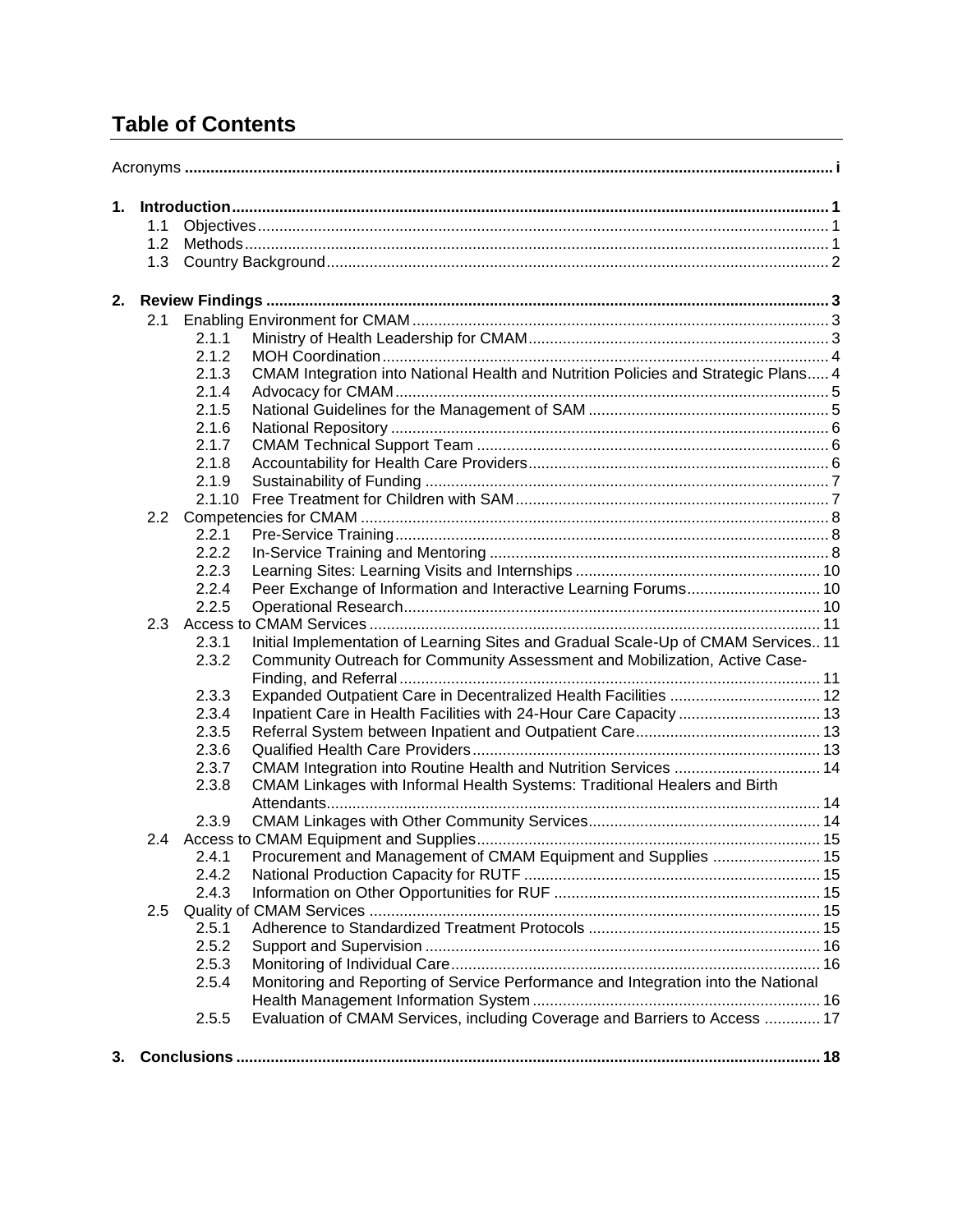|  | 4.1 General Recommendations to Support the MOH/DN and Implementing Partners in CMAM19 |  |
|--|---------------------------------------------------------------------------------------|--|
|  |                                                                                       |  |

#### **ANNEXES**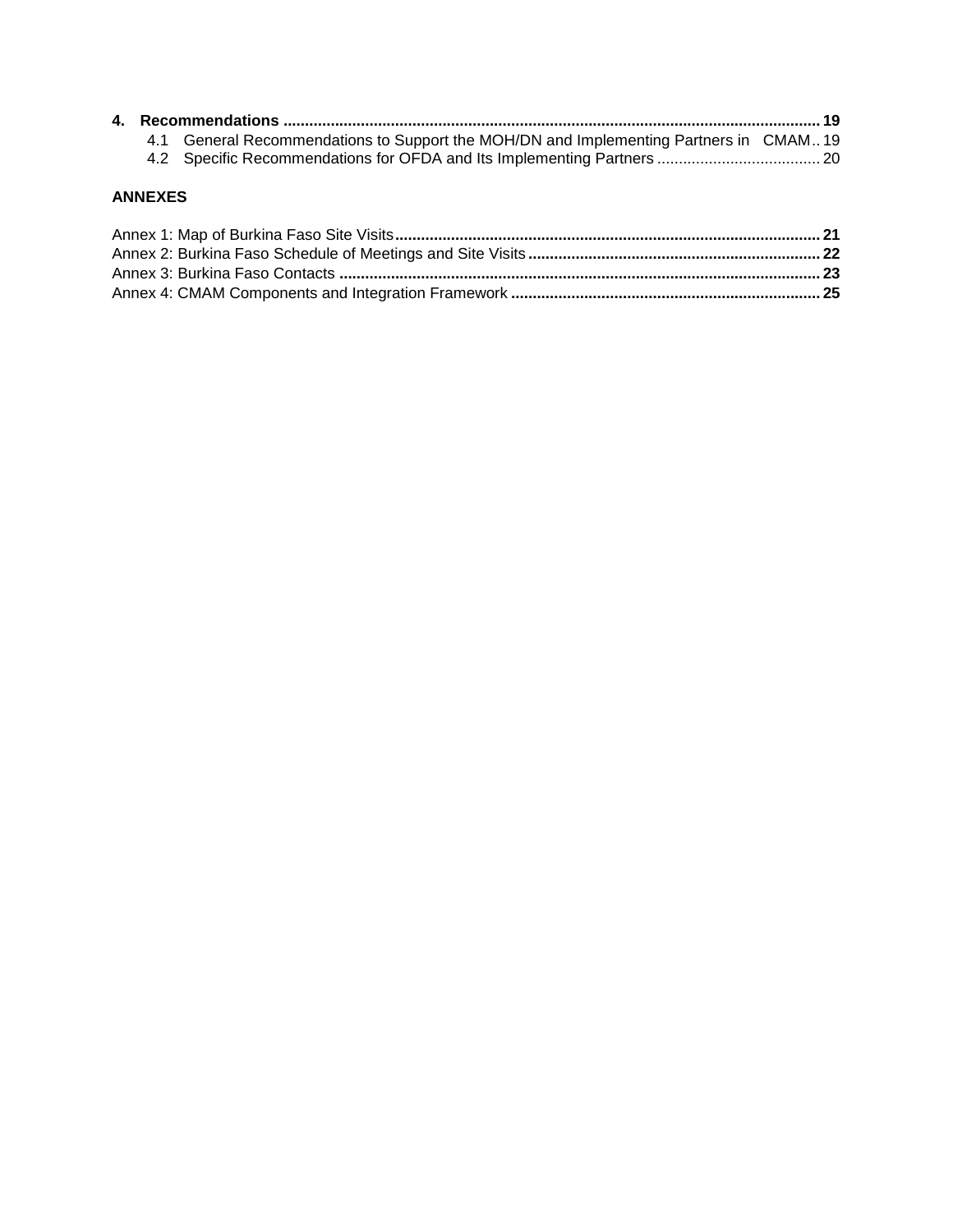# <span id="page-4-0"></span>**Acronyms**

| ACF               | Action contre la Faim                                                                                            |
|-------------------|------------------------------------------------------------------------------------------------------------------|
| <b>AIDS</b>       | acquired immune deficiency syndrome                                                                              |
| <b>CAPN</b>       | Centre d'accueil pour le projet de nutrition                                                                     |
| <b>CHR</b>        | centre hospitalier régional (regional hospital)                                                                  |
| <b>CHW</b>        | community health worker                                                                                          |
| C-IMCI            | Community Integrated Management of Childhood Illness                                                             |
| <b>CMA</b>        | centre médical avec antenne chirurgicale (medical center with surgical capacity)                                 |
| <b>CMAM</b>       | Community-Based Management of Acute Malnutrition                                                                 |
| <b>CNCN</b>       | Conseil National de Concertation en Nutrition (National Council for Consultation on<br>Nutrition)                |
| <b>CREN</b>       | centre de réhabilitation et de l'éducation nutritionnelle (center for rehabilitation and<br>nutrition education) |
| <b>CSPS</b>       | centre de santé et de promotion sociale (health center)                                                          |
| <b>DCHA</b>       | USAID Bureau for Democracy, Conflict, and Humanitarian Assistance                                                |
| DN                | Directorate of Nutrition                                                                                         |
| <b>ENA</b>        | <b>Essential Nutrition Actions</b>                                                                               |
| FANTA-2           | Food and Nutrition Technical Assistance II Project                                                               |
| GAM               | global acute malnutrition                                                                                        |
| <b>GOBF</b>       | Government of Burkina Faso                                                                                       |
| <b>GRET</b>       | Groupe de recherche et d'échanges technologiques (Group for Research and                                         |
|                   | Technology Exchange)                                                                                             |
| HIV               | human immunodeficiency virus                                                                                     |
| HKI               | <b>Helen Keller International</b>                                                                                |
| <b>HMIS</b>       | health management information system                                                                             |
| <b>IMCI</b>       | Integrated Management of Childhood Illness                                                                       |
| <b>IRSS</b>       | Institut de Recherche en Sciences de la Santé (Research Institute of Health Sciences)                            |
| M&R               | monitoring and reporting                                                                                         |
| MAM               | moderate acute malnutrition                                                                                      |
| <b>MDG</b>        | <b>Millennium Development Goals</b>                                                                              |
| <b>MICS</b>       | Multiple Indicator Cluster Survey                                                                                |
| <b>MOH</b>        | Ministry of Health                                                                                               |
| <b>OFDA</b>       | USAID Office of U.S. Foreign Disaster Assistance                                                                 |
| <b>MSF</b>        | Médecins Sans Frontières                                                                                         |
| <b>MUAC</b>       | mid-upper arm circumference                                                                                      |
| <b>NCHS</b>       | <b>National Center for Health Statistics</b>                                                                     |
| <b>NGO</b>        | nongovernmental organization                                                                                     |
| <b>PADS</b>       | Programme d'Appui au Développement Sanitaire (Health Development Support                                         |
|                   | Program)                                                                                                         |
| PM <sub>2</sub> A | Preventing Malnutrition in Children under 2 Approach                                                             |
| <b>PRSP</b>       | Poverty Reduction Strategy Paper                                                                                 |
| <b>RUTF</b>       | ready-to-use therapeutic food                                                                                    |
| <b>SAM</b>        | severe acute malnutrition                                                                                        |
| <b>SBCC</b>       | social and behavior change communication                                                                         |
| <b>SFP</b>        | supplementary feeding program                                                                                    |
| TBA               | traditional birth attendant                                                                                      |
| TG                | thematic group                                                                                                   |
| <b>USAID</b>      | United States Agency for International Development                                                               |
| <b>WFP</b>        | World Food Programme                                                                                             |
| <b>WHO</b>        | World Health Organization                                                                                        |
|                   |                                                                                                                  |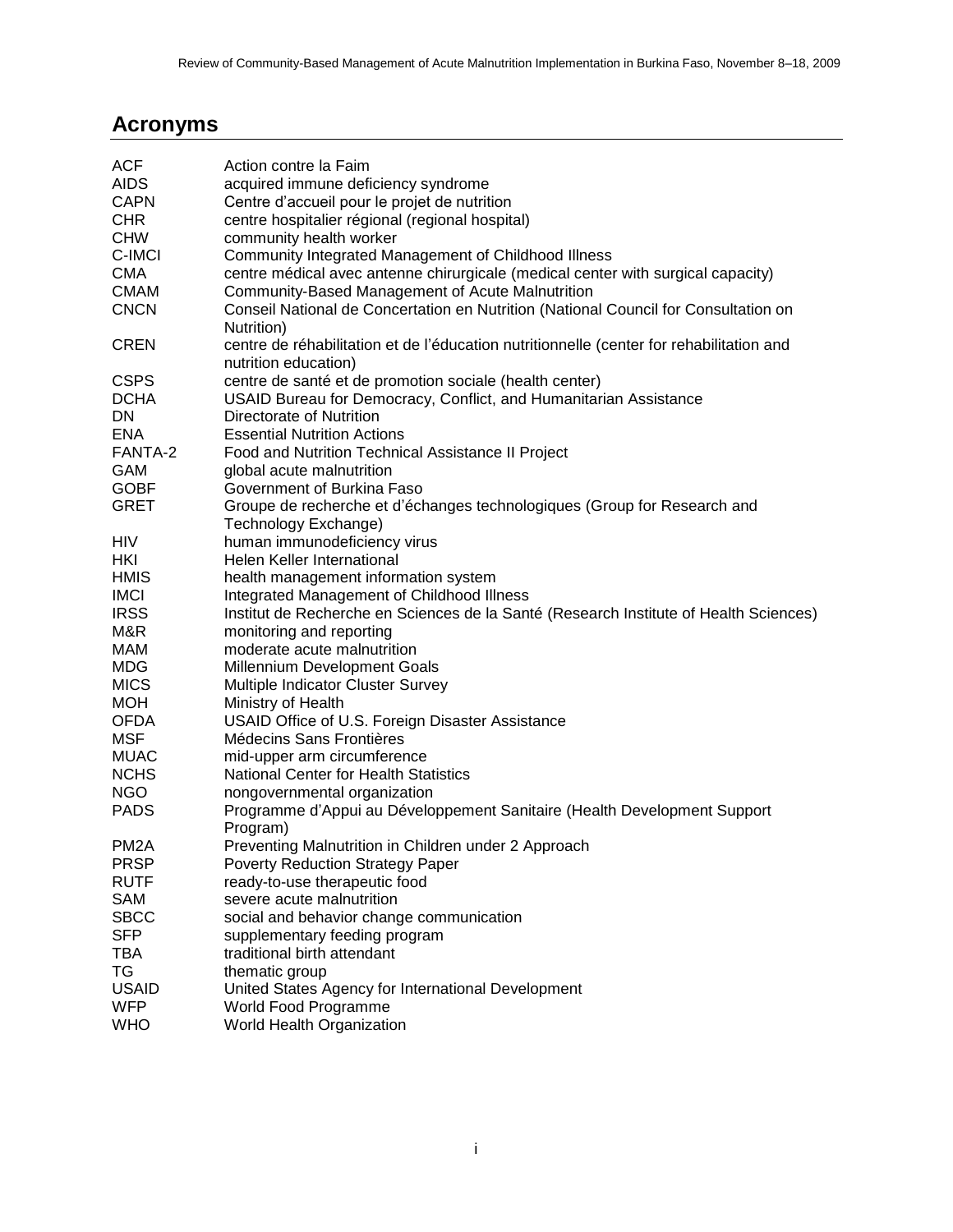## <span id="page-5-0"></span>**1. Introduction**

The United States Agency for International Development (USAID) Bureau for Democracy, Conflict, and Humanitarian Assistance Office of U.S. Foreign Disaster Assistance (DCHA/OFDA) requested Food and Nutrition Technical Assistance II Project (FANTA-2) assistance to review Community-Based Management of Acute Malnutrition (CMAM) in four West African countries—Burkina Faso, Mali, Mauritania, and Niger—to help identify DCHA/OFDA 2010 and 2011 program priorities, including where DCHA/OFDA investment should be directed to support CMAM. The goal was to review CMAM program implementation and its integration into national health systems to provide DCHA/OFDA a status report for each country; draw lessons learned; and make recommendations on challenges, promising practices, gaps, and priority areas for DCHA/OFDA support during 2010 and 2011. The review was intended for DCHA/OFDA program planning purposes and also potentially as an advocacy tool to guide other donors in planning CMAM support in the region. After all four countries have been reviewed, FANTA-2 will develop a synthesis report. The current document presents a summary report on CMAM in Burkina Faso only.

## <span id="page-5-1"></span>**1.1 OBJECTIVES**

Burkina Faso was the first country FANTA-2 reviewed. The review had the following objectives:

- a) Review the overall status of CMAM implementation and provide a status report on CMAM efforts in the country.
- b) Analyze the effectiveness of CMAM programs in terms of improved nutritional indicators (e.g., prevalence of global acute malnutrition [GAM]).<sup>1</sup> If sufficient data are unavailable, develop recommendations for improved data collection.
- c) Analyze the relevance of DCHA/OFDA-funded activities and the extent to which they are contributing to viable national health systems.
- d) Identify challenges, opportunities, gaps, promising practices, and lessons learned in CMAM implementation.
- e) Make recommendations to DCHA/OFDA on how to address challenges, pursue opportunities, and fill identified gaps on promising practices that should be incorporated into other programs and on how to build on lessons learned in the region and globally.

#### <span id="page-5-2"></span>**1.2 METHODS**

l

An examination of existing nutrition policy and strategy, national protocols, and performance information from some of the selected programs in Burkina Faso was conducted to understand the CMAM program context, structure, and performance.

The FANTA-2 review team (Hedwig Deconinck, Senior CMAM and Emergency Nutrition Advisor, FANTA-2; Serigne Mbaye Diene, Senior HIV and Nutrition Advisor, FANTA-2; and Paluku Bahwere, Community-Based Therapeutic Care Advisor, Valid International) visited Burkina Faso from November 8 to November 19, 2009. During the visit, the team reviewed CMAM implementation at the national, subnational, and district levels, with the aim of documenting how implementation is taking place in terms of access to services and supplies; quality of services; and health staff competencies, including a basic understanding of procedures to identify acute malnutrition and implementation of the national protocol. The team also looked into how CMAM is being integrated into the health system at all levels, the extent of the enabling environment for such integration, and the development of strategies for its replication.

To accomplish this, the review team conducted site visits for observation and held meetings and interviews at the national, subnational, and district levels, with the Ministry of Health (MOH), UNICEF Burkina Faso, the World Food Programme (WFP)/Burkina Faso, USAID, nongovernmental organization

<sup>&</sup>lt;sup>1</sup> This was not possible for the following reasons. Data were not available to assess the impact of CMAM on GAM rates. Coverage is still low and the program is too new to have had a real impact on GAM rates. CMAM is mostly a therapeutic intervention and does not affect incidence. It can therefore only affect GAM rates if the coverage is good. In addition, the review team could not control for the food security situation and many other confounding factors. Doing so would have required a full, formal evaluation as opposed to a short review.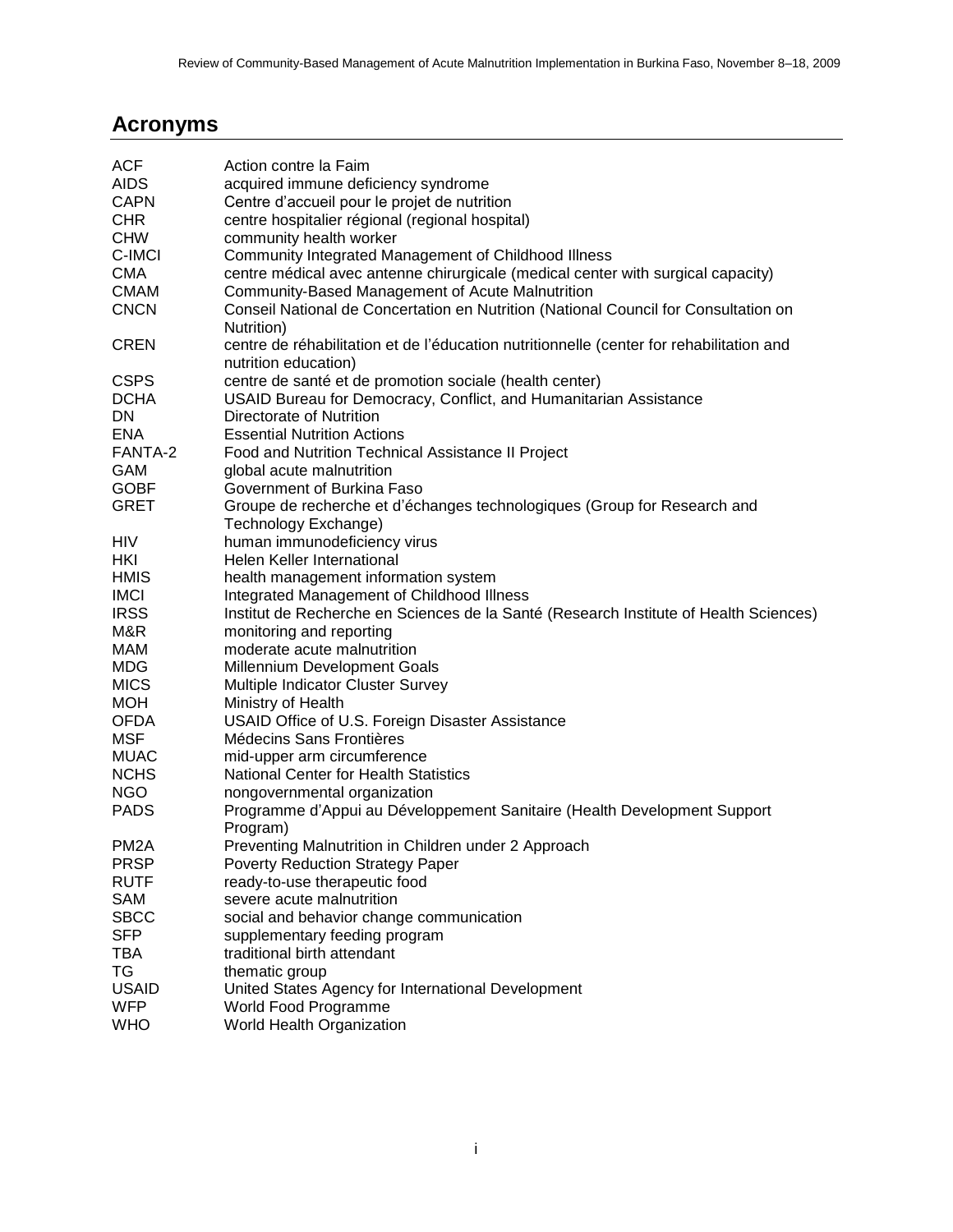(NGO) representatives and staff, and staff members of national training institutions. The review team visited sites from all NGO programs currently operating CMAM services in Burkina Faso. Sites were prioritized based on the scheduling of weekly activities, so that the team would be able to observe service provision. The team visited implementing partner or MOH offices and health centers in the same catchment areas. The team also visited a number of MOH sites not receiving external support. For each CMAM program, health facilities with inpatient care and outpatient care sites and supplementary feeding program (SFP) sites were selected for visits.

The team conducted site observation, key informant interviews, and focus group discussions with health managers, health care providers, community outreach coordinators and workers, beneficiaries (mothers or caregivers), community leaders, and community members. Key questions on CMAM implementation and integration for the review of programs and services at the national, subnational, district, and community levels were prepared and adapted for different informants. Interview questions followed themes taken from the CMAM analytical framework, developed by FANTA during a 2007 three-country review of CMAM integration (see Annex 6). The CMAM analytical framework includes five categories that are fundamental to successful CMAM implementation: 1) the enabling environment for CMAM, 2) CMAM competencies, 3) access to CMAM services, 4) access to CMAM supplies, and 5) quality of CMAM services.

## <span id="page-6-0"></span>**1.3 COUNTRY BACKGROUND**

Malnutrition is a significant problem of public health importance in Burkina Faso. Malnutrition rates are extremely high, affecting large segments of the population and limiting the nation's ability to make economic and social strides. Twenty-three percent of Burkinabe children under 5 are wasted, 35 percent are stunted, and 37 percent are underweight (UNICEF Multiple Indicator Cluster Survey [MICS] 2006). While major stakeholders share a belief that acute malnutrition data in Burkina Faso are not reliable, like other countries in the Sahel, it is certain that entrenched acute malnutrition rates hover on a regular basis around the emergency threshold of 15 percent prevalence and surpass it seasonally, even though Burkina Faso is not currently in a state of crisis. The sixth poorest country in the world (UNDP 2009), Burkina Faso faces many of the same structural problems as the rest of the Sahel, including widespread poverty; illiteracy; a harsh climate with frequent droughts and other natural disasters; chronic food insecurity; lack of hygiene, sanitation, and clean water; and harmful infant and young child feeding and care practices.

In the years following the 2005 Sahel-wide nutrition crisis, the Government of Burkina Faso (GOBF) has assigned a higher priority to nutrition interventions. The 2005 Burkina Faso Poverty Reduction Strategy Paper (PRSP), developed to guide International Monetary Fund and World Bank investments, lists among its strategic objectives promoting access for the poor to health care services and nutrition programs. However, the PRSP includes only low birth weight and underweight as indicators of nutrition progress. The MOH has established high-level nutrition structures and has developed a national nutrition policy and strategic plan for nutrition (2010–2015). Nutrition policies and strategies also exist at lower levels of the health system. Although national policies do not provide for the management of acute malnutrition specifically, the MOH has recognized that addressing this problem will help the country achieve its Millennium Development Goals (MDGs).

The MOH has demonstrated its commitment by developing guidelines for the management of acute malnutrition and rolling out services. Even after the development and release of official guidelines, it remains important to distinguish between two separate but related approaches to the management of acute malnutrition. The GOBF focuses on a facility-based management of severe acute malnutrition approach, offering treatment for children under 5 with severe acute malnutrition (SAM) in inpatient care until full recovery, while international NGOs have adopted the CMAM approach, with its specific community-based components of community participation for active case-finding and referral for treatment, treatment in outpatient care when appropriate, and home visits for problem cases, thus ensuring increased service access and utilization (i.e., coverage).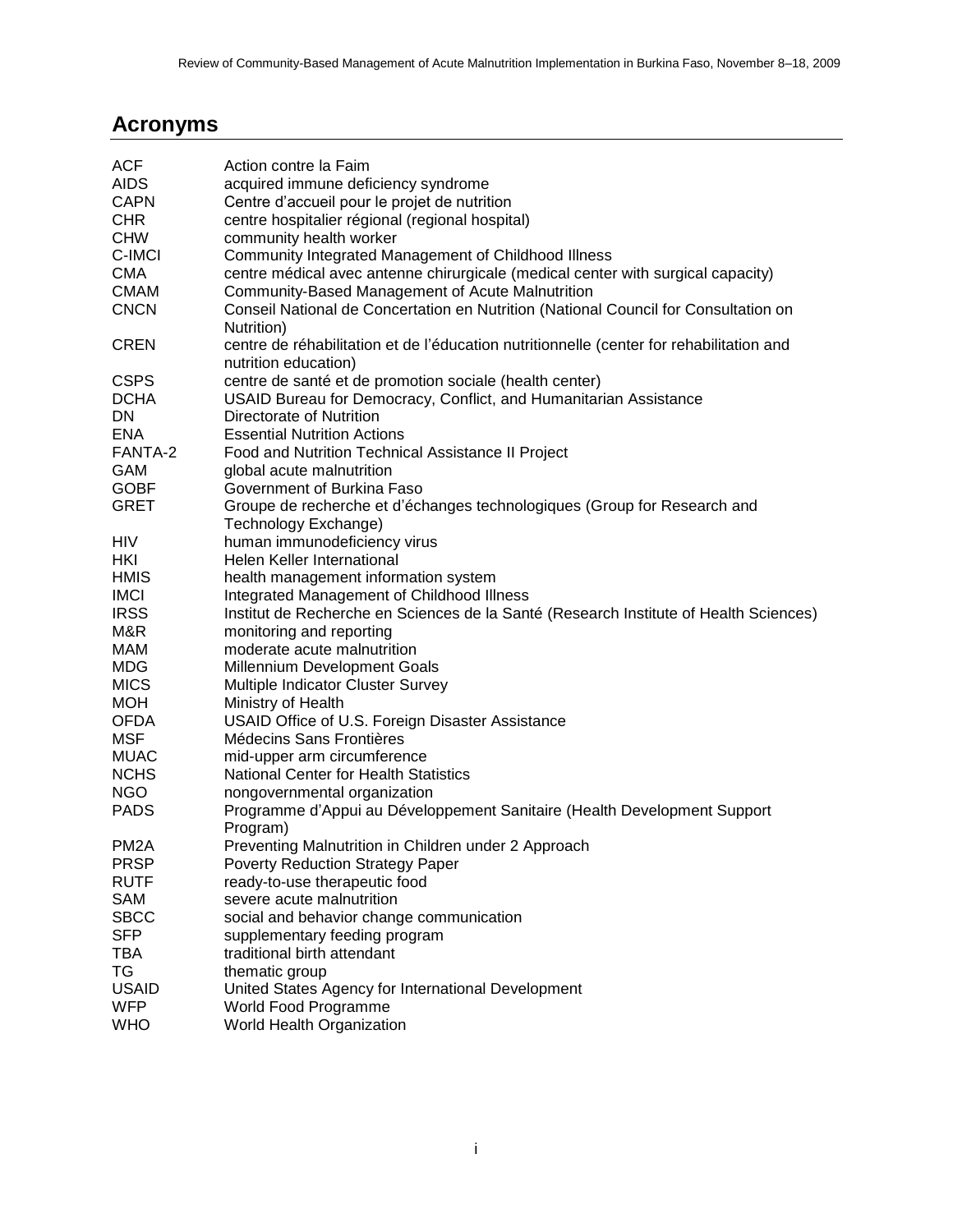## <span id="page-7-0"></span>**2. Review Findings**

## <span id="page-7-1"></span>**2.1 ENABLING ENVIRONMENT FOR CMAM**

### <span id="page-7-2"></span>**2.1.1 Ministry of Health Leadership for CMAM**

The GOBF's desire to give more visibility to nutrition and make it a priority in its developmental policies and strategies has been translated into concrete actions. The GOBF has elevated the Directorate of Nutrition (DN) to be one of the five national directorates under the General Direction of Health Services within the MOH. Burkina Faso is one of the few West African countries where nutrition is raised to the level of a national directorate. The appointment of a national director and a team of technical staff has bolstered the technical leadership of the MOH in nutrition. Moreover, nutrition is integrated into the country's development plan and into the planning and monitoring of progress toward achieving the MDGs.

MOH/DN efforts to ensure technical leadership for nutrition include:

- A multi-sectoral body—*le Conseil National de Concertation en Nutrition* (CNCN) (the National Council for Consultation on Nutrition)—to discuss and adopt policy changes and coordinate established nutrition initiatives
- A national nutrition policy document
- A national strategic plan for nutrition for 2010–2015

Prior to 2006, Burkina Faso had limited experience in the management of acute malnutrition. However, an enabling environment for CMAM has since been created. Even though acute malnutrition lacks a dedicated CNCN thematic group (TG) and the management of acute malnutrition has not yet been treated as a priority nutrition intervention, initial implementation and scale-up of services have begun and have gained momentum.

MOH efforts to strengthen technical leadership and capacity in CMAM have achieved:

- Development and dissemination of national guidelines for the management of acute malnutrition
- Strengthened capacities of mangers and heath care providers
- $\bullet$ Appointment of nutrition focal points in charge of training, mentoring, and monitoring CMAM implementers in all regional MOH and health districts

Despite the promising leadership role the MOH/DN is playing for CMAM, its technical expertise requires reinforcement. Inconsistent technical leadership has resulted in low coverage of CMAM services and different CMAM strategies being implemented in different locations. And while Burkina Faso is a development context requiring development solutions, some management of acute malnutrition strategies follow an emergency model with high financial and human resource inputs. This model, often introduced by emergency donors to respond to acute situations where achieving widespread coverage rapidly is an imperative to save lives, discourages sustainable integration and does not enhance longer-term capacity and expertise strengthening.

Challenges in MOH technical leadership and capacity in CMAM are related to:

- Lack of a strategy for sustainable capacity development
- Lack of a strategy for continuous quality improvement  $\bullet$
- Lack of a strategy for scale-up of quality services
- Insufficient in-country expertise and experience in CMAM, including from key national and regional MOH staff members
- Incomplete initial CMAM training, including orientation without mentoring and a major focus on  $\bullet$ inpatient care
- Limited or no strategy and/or guidance on supplementary feeding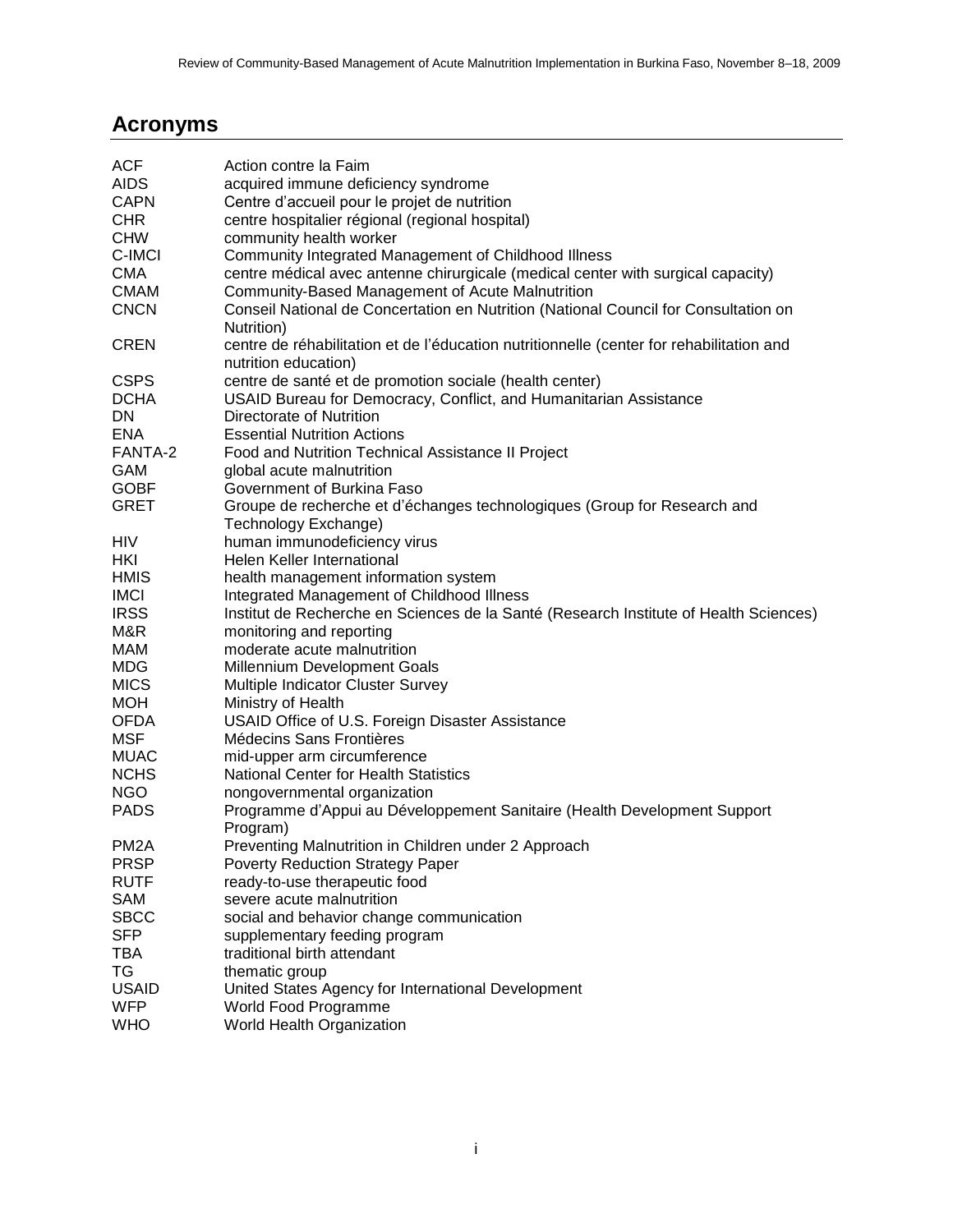## <span id="page-8-0"></span>**2.1.2 MOH Coordination**

In 2007, the GOBF created the CNCN, which has more than 15 participating institutions, including representatives from the major nutrition NGOs. The CNCN meets every 6 months and its four TGs meet every 3 months. The TGs are:

- $\bullet$ Nutrition and Community Participation
- Nutrition and Food Security
- Nutrition and Public Health  $\bullet$
- Nutrition and School Health

The CNCN/Nutrition and Community Participation TG serves as a discussion forum where CMAM issues are dealt with. There is no CMAM- or acute malnutrition-specific TG. Regional-level coordinating bodies exist in the regions of Fada Ngourma, Ouahigouya, and Kaya. The Fada Regional Coordinating Committee, created in 2008, held its first semester meeting in 2009. The regional governor presides over the meeting with the DN's participation, underscoring the importance high-level officials attach to nutrition issues. Regional nutrition coordinators and district nutrition focal points have been appointed, ensuring that the coordination bodies and mechanisms are in place.

NGOs have their own separate nutrition consultation platform for strengthening information sharing and coordinating activities. In most countries, NGOs typically set up their own information mechanisms outside government structures to preserve their independence. In spite of this platform, cohesion among the NGO partners is not perceived as strong, and one partner is not well informed of the activities of the other partners operating in the same region.

Overall, there is limited knowledge of the different strategies being implemented and a lack of sharing lessons learned, which makes it difficult to determine how the differences in CMAM implementation by the various partners (the MOH and NGOs) could contribute to learning country-specific lessons, strengthening the national strategy for integration of CMAM into the health system, scaling up services, and strengthening and sustaining CMAM capacities in a coordinated manner.

Limited coordination between the DN and the implementing NGOs, as well as insufficient technical expertise, are the source of inconsistencies in implementation strategies and lack of harmonization in CMAM practices, especially in international NGO-supported areas.

Observed weaknesses in coordination among different partners at the national, regional, and district levels include:

- Uneven application of the policy for free treatment of children with SAM
- Different criteria and reference populations used for detection and admission, resulting in children  $\bullet$ with SAM referred from the community not being admitted, and in dual admission in supplementary and therapeutic feeding programs
- $\bullet$ Unspecified roles and responsibilities for community health workers (CHWs) for CMAM
- Differing motivation strategies for CHWs for CMAM community mobilization resulting from lack of coordination and inadequate implementation of government policies

#### <span id="page-8-1"></span>**2.1.3 CMAM Integration into National Health and Nutrition Policies and Strategic Plans**

The MOH has not yet systematically integrated CMAM into national health and nutrition policies and strategic plans. However, acute malnutrition has been included in nutrition policies and strategic plans and the management of acute malnutrition has been recognized as a key intervention to accelerate progress toward achieving the MDGs. Along with a national policy for nutrition, the MOH has developed a new national strategic plan for nutrition (2010–2015), which includes among its objectives improving integration and delivery of nutrition services at the health facility and community levels. The strategic plan could serve as a starting point for integrating CMAM into policy and strategy. Current policies and strategies addressing lower levels of the health system also allow the health districts to integrate CMAM activities into their annual work plans. Because of the flexibility at their level, the districts are a driving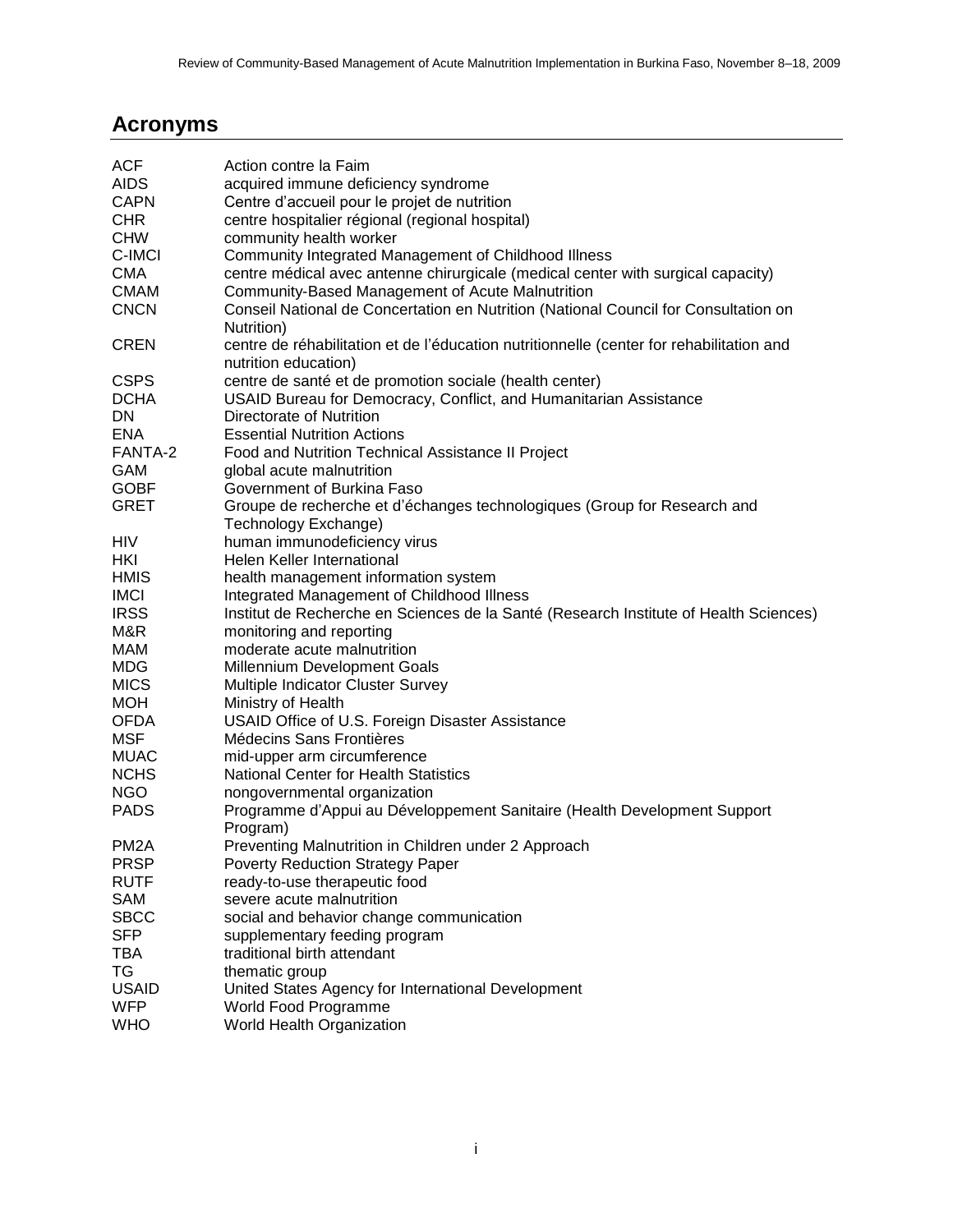force in promoting integration of CMAM into the health system. And, thanks to their additional resources and expertise, the integration of CMAM is more advanced in the NGO-supported districts.

## <span id="page-9-0"></span>**2.1.4 Advocacy for CMAM**

No CMAM advocacy plans or activities per se exist. However, starting in 2005, the DN and other actors have each played an important role in advocating for CMAM. In a sense, Burkina Faso benefited from the 2005 Niger crisis, which revealed the existence of a general malnutrition crisis throughout the Sahel, overlaying very high baseline GAM rates. The crisis pushed Sahelian governments, including the GOBF, and developmental partners, particularly United Nations agencies, to consider acute malnutrition a priority. The DN turned this visibility into an opportunity to advocate for increased support to national nutrition services in general and to the DN in particular by emphasizing how improving nutrition services would accelerate progress toward achieving the MDGs. As a direct result, the DN went from being an understaffed and poorly funded unit to a well-funded and well-staffed directorate.

The 6-day UNICEF Burkina Faso/MOH-facilitated 2007 course on the management of SAM, and the subsequent CMAM orientation and cascade trainings and orientations throughout Burkina Faso, can be considered a major advocacy event for CMAM. This clinical orientation course served as a launch pad for the nationwide CMAM rollout. Forty senior health professionals, including senior pediatricians, attended the course and became national CMAM trainers. The dissemination of the guidelines and the distribution of therapeutic foods also contributed to and encouraged the CMAM rollout.

The excellent working relationship between the DN and UNICEF Burkina Faso contributes to the effectiveness of nutrition advocacy activities. The DN has strongly benefited both technically and materially from UNICEF Burkina Faso support. UNICEF Burkina Faso has equipped the central-level office and all 13 regional offices with four-wheel drive vehicles to strengthen operational capacity. A similar working relationship between the NGOs and the DN is missing despite the potential of stronger collaboration to enhance the capacity of the nutrition community to benefit from the current favorable national and international environment, which places nutrition at the center of developmental programs.

Advocacy also takes place informally in several important ways. Most nutrition partners (UNICEF Burkina Faso and NGOs) have included CMAM in their work plans for the next several years, which demonstrates their success in advocacy for CMAM support. Nurses in charge of the *centres de santé et de promotion sociale* (CSPSs) (health centers) with CMAM services have become strong advocates for CMAM by appealing for its institutionalization and scale-up in the health system. Communities with CMAM services are very pleased with the quality and effectiveness of the CMAM services, and have also become good advocates of CMAM.

#### <span id="page-9-1"></span>**2.1.5 National Guidelines for the Management of SAM**

<span id="page-9-2"></span>With support from UNICEF Burkina Faso, the MOH developed and disseminated national guidelines following the cascade orientation training of health managers and health care providers. Because the guidelines have become an important reference document in the field, there is a need to review them to transition from the National Center for Health Statistics (NCHS) reference to the World Health Organization (WHO) child growth standards with adapted admission and discharge criteria, and to refine some technical inconsistencies. As they are written, certain aspects of the strategy and treatment protocols in the national guidelines leave room for interpretation, which has confused CMAM implementers. The DN plans to revise the guidelines in the first quarter of 2011. However, this would delay correcting important technical weaknesses related to contra-referral to outpatient care, use of the mid-upper arm circumference (MUAC) indicator, monitoring and reporting (M&R) of services, CMAM terminology, different measures used for community screening and admission, promoting sustainability for integration and scale-up, and transitioning to the WHO child growth standards, which identify greater numbers of younger children at increased risk of death.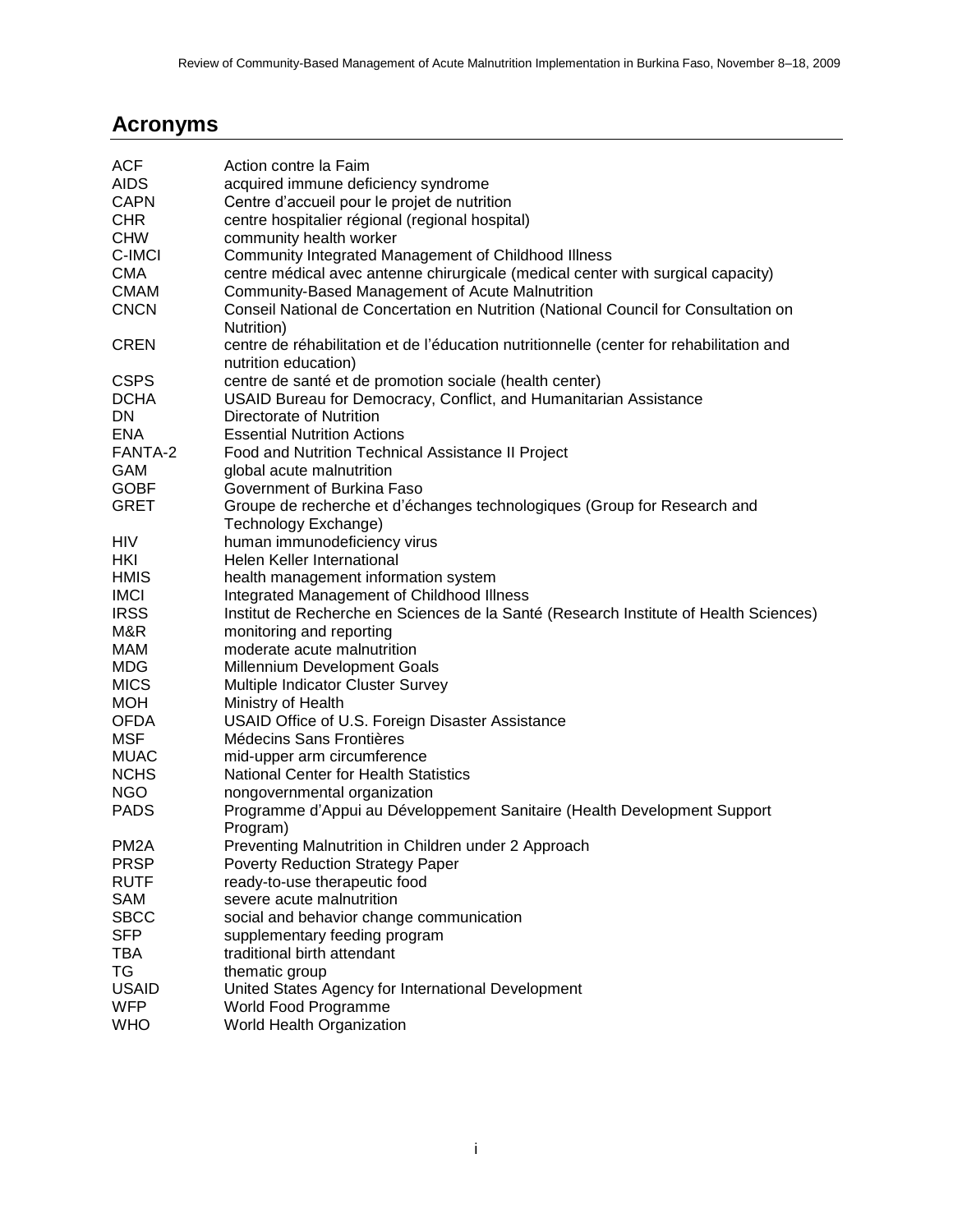## **2.1.6 National Repository**

The review team found a pervasive lack of clarity about the purpose of data collected on CMAM services and an apparent lack of feedback from the reporting system. All the sites visited collect monitoring data, which are compiled in a standardized reporting sheet and sent to the district and regional CMAM and health information system focal points, who then compile district reports and send them to the national level, where UNICEF Burkina Faso maintains a national repository. The role of the MOH in the data repository management was undefined. It was unclear whether nutrition partners in the regions and health districts received either a consolidated situation report or feedback on the overall performance of the services. It was also unclear how the CMAM data are used at the national level for resource planning, advocacy, or continuous quality improvement, for instance. Moreover, discussions with nutrition staff at the health facility level revealed a problem in understanding the purpose of the data collection and the forms used for data collection, which may be due to lack of training and/or a lack of consolidated reports and feedback.

### <span id="page-10-0"></span>**2.1.7 CMAM Technical Support Team**

Neither the DN nor the nutrition partners have recognized the need for establishing a team with technical expertise housed at the DN. Instead, the DN plans on building the CMAM capacity of the whole DN. However, the DN and partners would highly benefit from such a service, where a small team of experts could focus on developing and implementing strategic plans for sustainably strengthening in-country CMAM capacities. Some national nutrition partners in Burkina Faso have technical expertise in a specific field and the capacity to collaborate with the DN to provide support. Some national physicians have good clinical knowledge and skills from previous academically organized training courses and from working with NGO implementing partners. But a consolidated support team would consistently cover expertise in inpatient care, outpatient care and community outreach for CMAM.

The CNCN Nutrition and Community Participation TG has the potential to strengthen CMAM technical expertise. For instance, a core group of experts could be identified and their capacities strengthened by partnering with a DN-based CMAM technical expert.

## <span id="page-10-1"></span>**2.1.8 Accountability for Health Care Providers**

The national CMAM guidelines describe the role of the different levels of care, such as the health district, the health center, and the community, in implementing CMAM, but they do not explicitly describe the specific roles and responsibilities of the different levels of health care providers, such as clinicians, nurses, and CHWs. Some initiatives at the regional or district level have compensated for this shortcoming by reviewing and adapting health care provider job descriptions or by defining the roles of the different CMAM implementers and posting these on the health facility wall.

The CMAM training and the gradual rollout of CMAM services encouraged spontaneous adaptations to health care providers' roles and responsibilities, including requirements for adherence to the CMAM guidelines. Thanks to these adaptations, CMAM activities are being carried out on a routine basis in the health facilities where the services have been introduced.

Nevertheless, health care providers' motivation is a much recognized problem since training and continuous supportive supervision remain limited. Some health care providers expressed their motivation in relation to their perceived success in treating children and the job satisfaction that comes with it. For them, positive treatment outcomes and the sense of improving the quality of health services increase the visibility and public trust in the health services, which boosts their morale. Other health care providers express that their morale is boosted whenever they receive training and increased support from supervisors. Some nutrition partners use alternative motivation strategies, such as a competitive way of acknowledging good quality care (electing sites with the best service delivery, for example) or translate the need for a motivation into performance-based financial incentives paid for days involved in activities.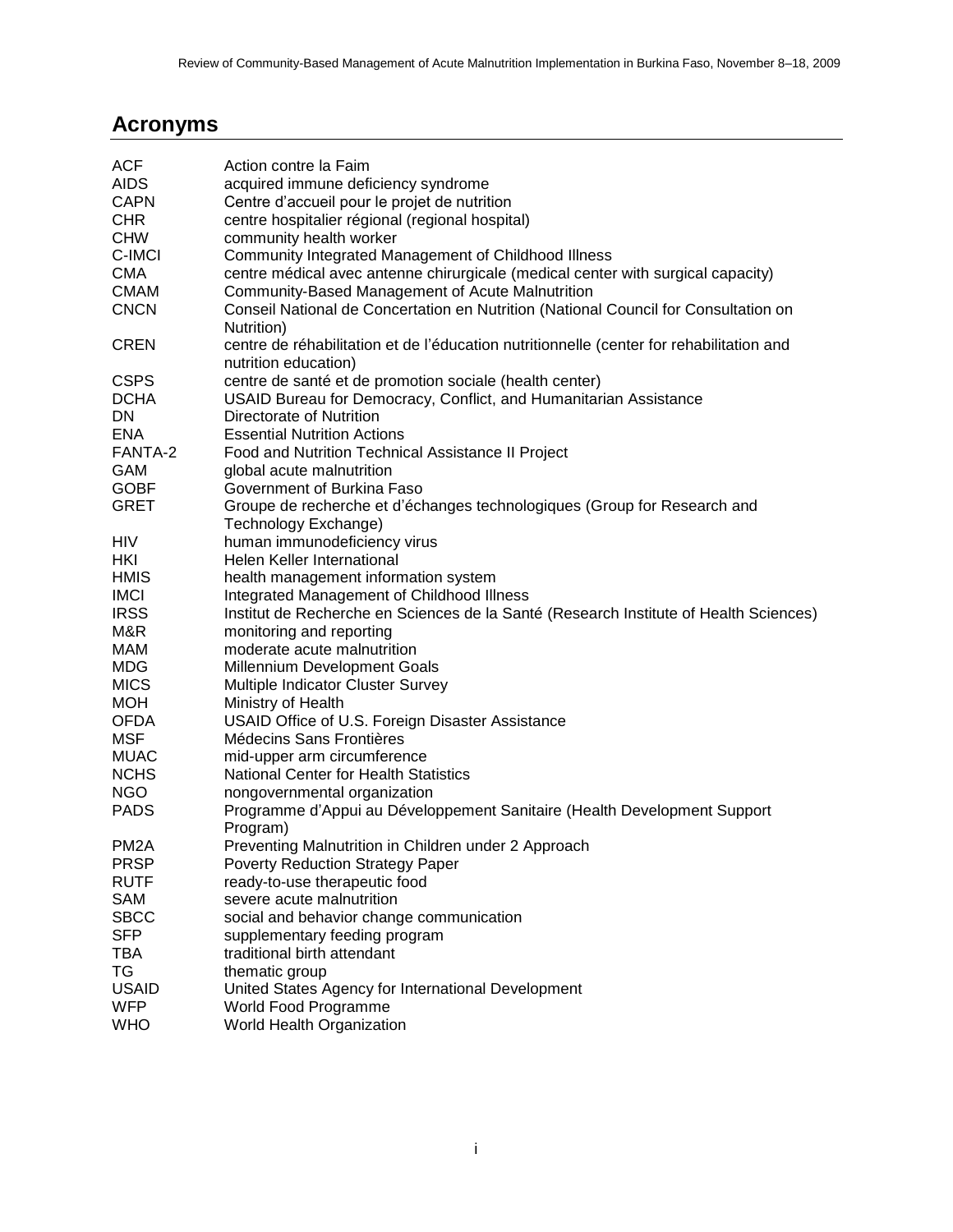The motivation of CHWs involved in community outreach is especially of concern for the sustainability of community participation and screening. Training and mentoring of CHWs is also an issue affecting the accountability and clarity of roles of CHWs performing CMAM duties in Burkina Faso. Most CHWs were recruited in the early days after the country's independence. There is no new recruitment strategy for CHWs and the position is often inherited. Thus, the body of CHWs is relatively static and not easily motivated or strengthened. Yet there are examples of CHWs who take on their new CMAM role because they are motivated to strengthen their status within their community. However, CHWs also often carry out their work with limited supportive supervision.

## <span id="page-11-0"></span>**2.1.9 Sustainability of Funding**

Most funding for CMAM for nutrition partners comes from emergency donors. The government's takeover of these costs will be a long-term process that is not yet planned. UNICEF Burkina Faso covers the cost of therapeutic supplies (therapeutic food, equipment, and drugs) and training and coordination meetings. WFP/Burkina Faso provides supplementary foods (including their transportation) for the management of moderate acute malnutrition (MAM).

Given that the management of SAM has been recognized as an intervention that contributes to achieving the MDGs, ideally, the GOBF and its development partners should gradually absorb the costs of CMAM. The GOBF has already established a budget line for nutrition, but, as with any health intervention, it is unlikely that the GOBF will be in a position to cover all the supply costs of CMAM without external support. The MOH strategic plan for nutrition, through the *Programme d'Appui au Développement Sanitaire* (PADS) (Health Development Support Program), a World Bank-funded health program, is providing US\$80 million over the next 5 years. The PADS supports the National Health Development Plan to improve quality and utilization of maternal and child health services and malaria prevention and treatment. It also supports the country's HIV/AIDS programs. In 2008, in an effort to help Burkina Faso make more rapid progress toward achieving the MDGs, the World Bank provided an additional US\$15 million grant to the PADS through 2012 for community-based health and nutrition activities to be carried out by NGOs and community-based organizations at the regional and district levels. This level of funding translates to US\$0.85 per capita per year for the Burkinabe population. The GOBF budget support to the health plan at the district level targets an estimated 20 percent to nutrition and 80 percent to all other health activities. Thus, despite these government commitments, CMAM activities are underfunded. The current GOBF contribution to financing CMAM activities seems to be limited to the payment of MOH staff salaries.

## <span id="page-11-1"></span>**2.1.10 Free Treatment for Children with SAM**

The GOBF recognizes that the treatment of children with SAM should be free, as stated in the national nutrition policy. In reality, since free drugs are offered only when UNICEF Burkina Faso-supplied drugs are available, caregivers must pay for drugs associated with treating SAM. While health districts have a budget that is supposed to cover health care for the needy, most health districts do not consider this to mean providing free drugs for children with SAM, which implies a lack of recognition of SAM as a health problem. The most frequently mentioned reason for charging for drugs was budget insufficiency.

<span id="page-11-2"></span>Several nutrition partners who support the MOH in CMAM implementation subsidize or entirely cover the financial cost of SAM treatment in their districts of operation. Most districts without such support have not been able to provide free care for SAM. Some NGO partners have gone as far as ensuring free health care to all children under 5 and pregnant and lactating women. The MOH is planning to draw lessons from these different financial support models. They could also look into the examples of some African countries that have sustained systems of free health care for children under5, which is the case in many Southern African Development Community countries, including Malawi. However, even in Malawi, this heavily donor-subsidized system cannot be sustained without continued donor support to the MOH.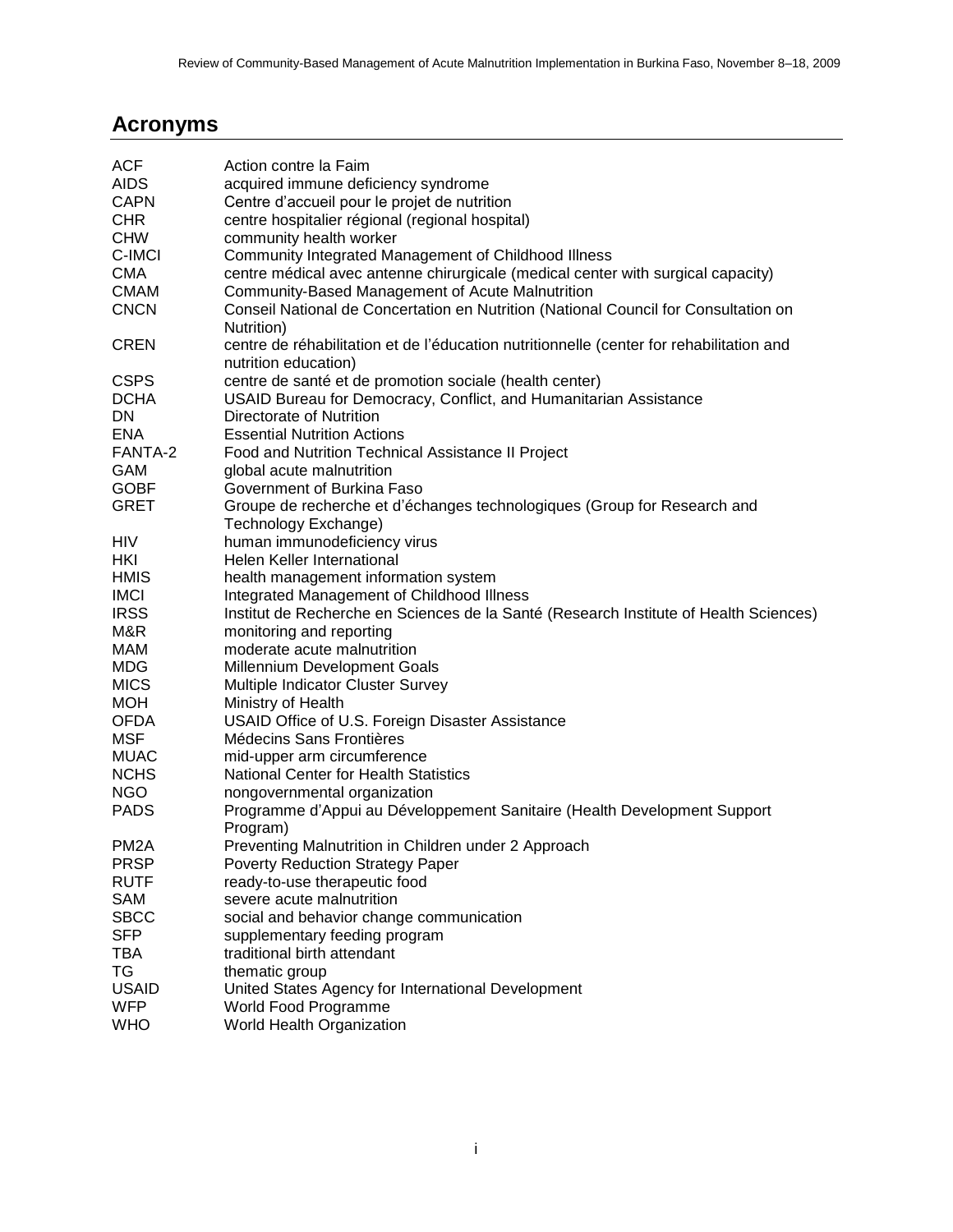## **2.2 COMPETENCIES FOR CMAM**

Burkina Faso lacks a broad base of experienced CMAM health trainers and managers and health care providers in the MOH and implementing partners. Currently, all national-level DN staff is informed about CMAM, but not all staff is skilled in CMAM management and implementation. Most of the staff involved in implementing CMAM has had limited exposure to the approach prior to taking on their current CMAM position or responsibilities, while some staff members have gained great expertise in a specific but limited area of the approach. Regional and district nutrition focal points have a major focus on CMAM, but have limited opportunities to strengthen their knowledge and skills in CMAM management, including support and supervision and M&R. Moreover, the team of national and regional CMAM trainers has not received specific CMAM management and implementation skills strengthening.

## <span id="page-12-0"></span>**2.2.1 Pre-Service Training**

There is currently no emphasis placed on pre-service training. Reflecting the dearth of courses on the treatment of SAM, some CMAM trainers, academicians, and health care providers recognized that the management of SAM is not covered well in the health professionals' curriculum. However, solid training on the 1999 WHO protocol on the management of severe malnutrition existed in 2000–2004. Academicbased training on the management of SAM was provided for 3 days during a 3-week modular course on nutrition and public health, which was part of the public health course for medical undergraduate students at the University of Ouagadougou. Unfortunately, the course ended because of lack of political support and funding. The reason for failure to maintain the course could be that the package on nutrition and public health was provided as a separate module instead of being integrated into the curriculum, as is the case with the management of childhood illness.

The MOH/DN and UNICEF Burkina Faso plan to introduce the CMAM guidelines into the curriculum for nurses and paramedics at the National Schools of Public Health, where the DN staff has been at the forefront in teaching nutrition. These schools are located in Ouagadougou, Bobo Dioulasso, and Fada Ngourma. Revision of the training modules used for the CMAM course is under consideration.

Teaching institutions and universities have expressed interest in participating in CMAM training courses. This interest could generate opportunities. One proposal is to reintroduce the modules on the management of SAM within existing medical school curriculum courses. A second proposal is to introduce short modules that can be organized as extracurricular private courses. The latter is likely to start as an initiative of the Department of Nutrition at the Institut de Recherche en Sciences de la Santé (IRSS) (Research Institute of Health Sciences) with support from the University of Montreal.

## <span id="page-12-1"></span>**2.2.2 In-Service Training and Mentoring**

Following the first UNICEF Burkina Faso/MOH-facilitated 6-day orientation training, a series of cascade trainings was organized at the regional and district levels, resulting in the training of 350 trainers and service providers. Health care managers expressed skepticism about the effectiveness of the cascade training approach, including specific concerns that the orientation training was not an effective training of trainers because the training did not cover training skills. While the effectiveness of the cascade training approach has not yet been evaluated, many health care providers emphasized the importance of the continuous support, supervision, and mentoring they receive from the NGO partners. According to many health care providers with whom the review team met, in the absence of NGO support, it would have been difficult to correctly apply the treatment protocols. However, the reality is that the vast majority of health districts (53 of 63) do not benefit from NGO support.

To address the need for follow-up training, the MOH has a plan to organize a new cycle of trainings for new nurses and at least three CSPS staff members in 2010 with financial support from the national budget, UNICEF Burkina Faso, and NGOs. Unfortunately, health care providers who previously received training will not be eligible to participate.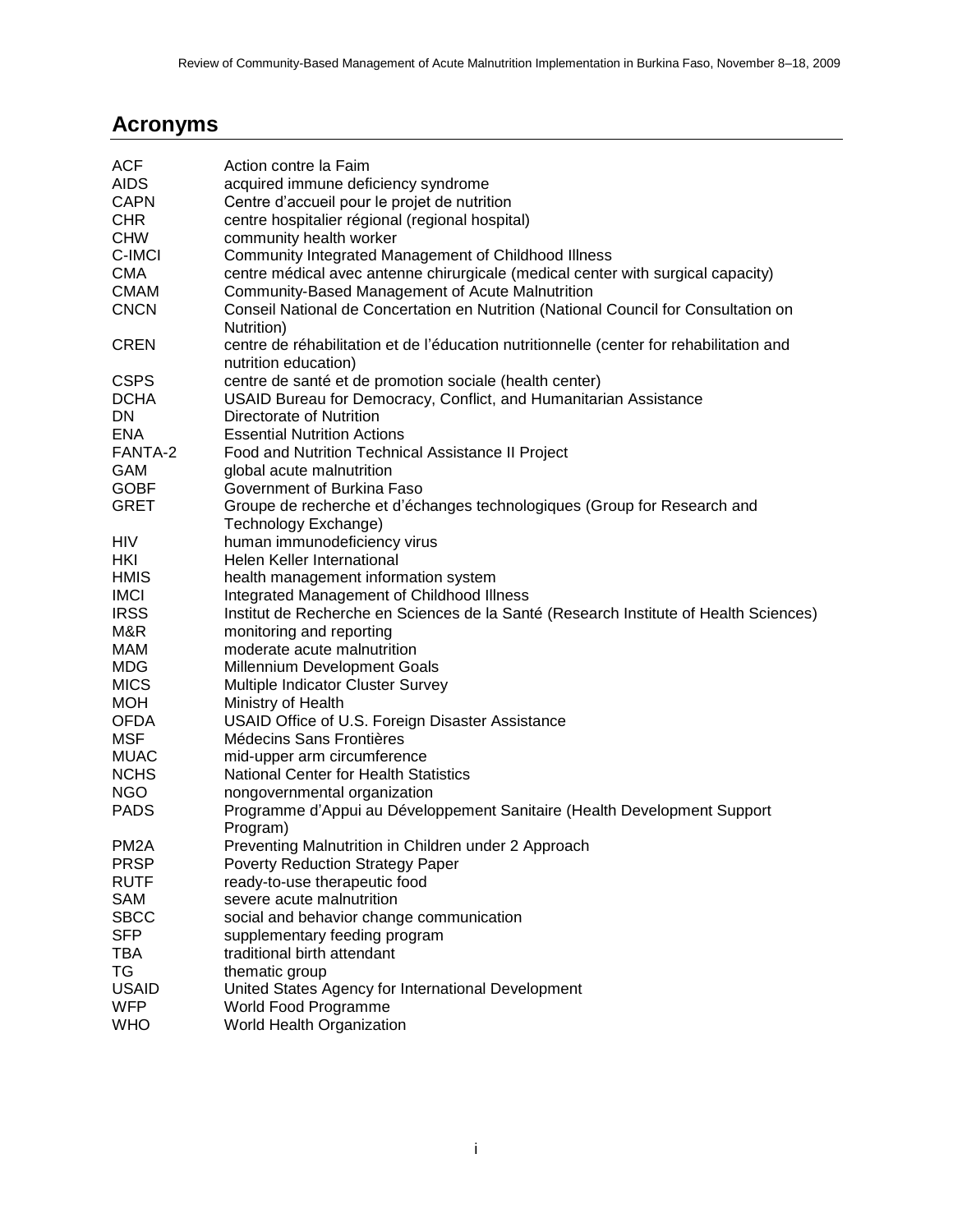A patchwork of other training opportunities exists, but it was unclear if these trainings are standardized and institutionalized. Health care providers from health districts implementing CMAM are trained by the MOH, by the supporting NGOs, or by both. NGOs usually provide the training for CHWs on community outreach, covering aspects of community mobilization, early detection, referral of children with SAM, and home visits. NGOs usually train health care providers on methods for M&R. Where there is no NGO, the MOH covers these specific aspects. One regional training initiative supported in Fada Ngourma, focusing on supply chain management, procurement, and the management of SAM in inpatient care, was still in the planning stage during the review visit.

The MOH, with UNICEF Burkina Faso support, has begun testing an alternative way of strengthening health care provider CMAM capacities through a mentoring approach in one district. The mentoring approach covers five CSPSs and consists of a 1-day orientation on community mobilization and active case-finding and the treatment of SAM without complications in outpatient care. In a second phase, the district focal point with the trained health care providers will scale up mentoring and services to cover all CSPSs in the health district. This experiment is still under development and has not been externally evaluated, but it promises to be a source of valuable lessons. The effectiveness of this approach to replicate at scale while ensuring service quality will need to be evaluated before it is promoted and supported on a larger scale. Box 1 summarizes the approaches to in-service training used in Burkina Faso.

#### **Box 1. The Three In-Service CMAM Training Approaches That Have Been Used in Burkina Faso**

#### **1. Six-day orientation training using the cascade training approach, with limited MOH support follow-up**

- Starting in 2007, the MOH/DN, with UNICEF Burkina Faso support, initiated orientation training  $\bullet$ on CMAM for health managers and health care providers using a cascade training approach.
- $\bullet$ The cascade approach was not an effective training of trainers because participants were not trained to train. The training did strengthen knowledge, but did not include practical skills training.
- A team of senior clinicians and nutritionists was trained by international experts in the first  $\bullet$ national training. These trainees then became national trainers who trained regional trainers who, in turn, trained district trainers, who, in turn, trained district health care providers. Regional trainers could potentially also support district-level training.
- The training at the national level had a major focus on inpatient care for the management of  $\bullet$ SAM. The other CMAM components were covered in only a few hours. On the last day of the training, national CMAM guidelines were drafted and endorsed by the participants.

#### **2. In addition to the cascade training, the district-based NGO provides continued mentoring support at the implementation level**

#### **3. In addition to the cascade training, an international expert agency, with supervision support from the regional MOH and health district, provides limited mentoring support at the implementation level**

- In-service training with mentoring support was introduced in one district to support CMAM start-up. The practical, 1-day training was followed by a 2-week mentoring of health care providers and CHWs focusing on outpatient care and community outreach in five CSPS catchment areas.
- The health district will repeat the in-service training with mentoring support from the five  $\bullet$ CSPSs and expand the services to the remaining health facilities in the district.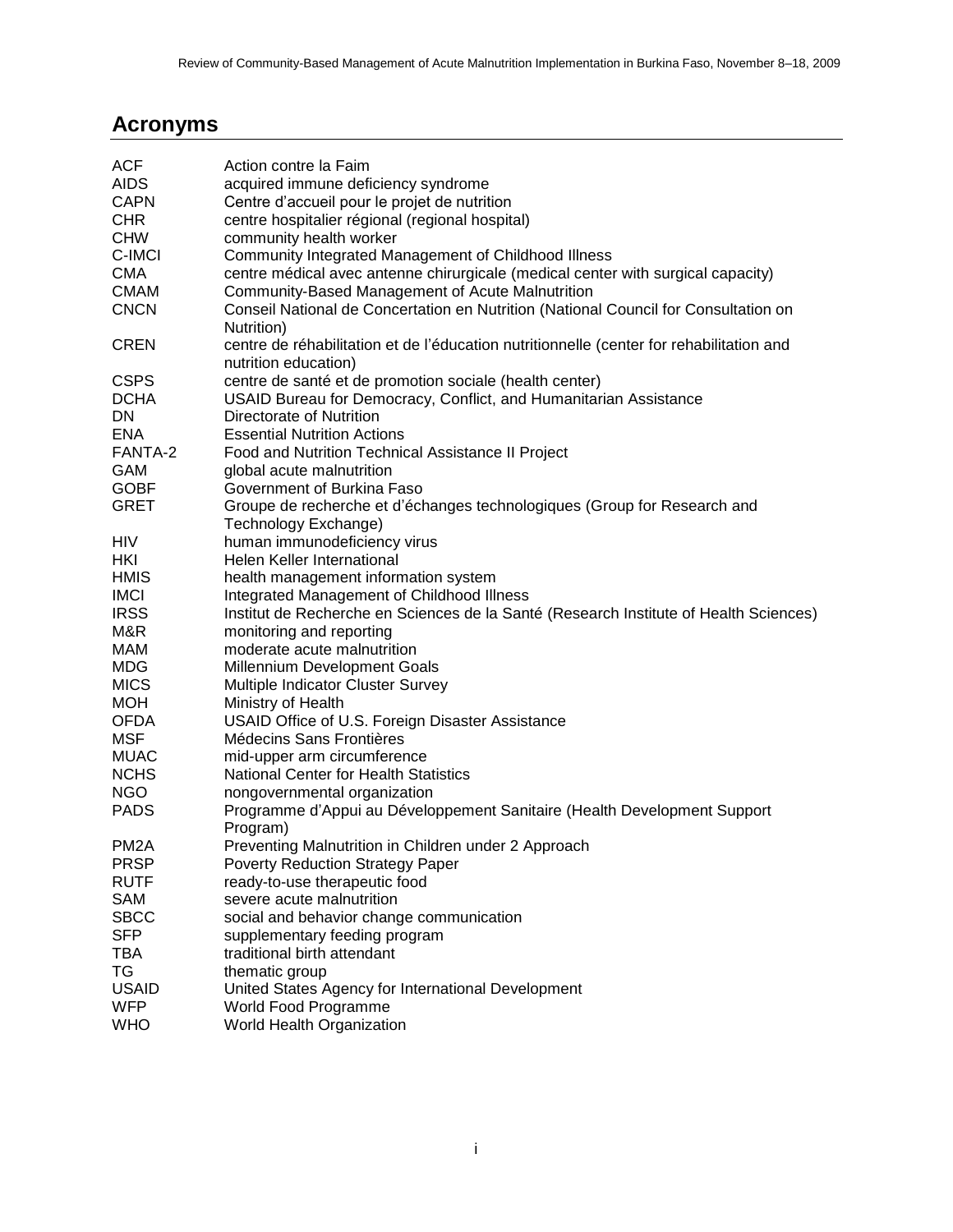## <span id="page-14-0"></span>**2.2.3 Learning Sites: Learning Visits and Internships**

Opportunities for sharing expertise and experiences among partner agencies have been underused. No formal learning site has been established nationally and no proposition has been made to visit a learning site abroad. Learning visits or possibilities for internships to sites with quality care and expert mentors able to accommodate trainees have not taken place or been organized. No one from the MOH has participated in a learning visit or internship nationally or internationally. Another limiting factor is that, if inservice learning does exist, it is often limited to strengthening capacities within an individual partner agency and their MOH counterparts without being promoted outside of the partner agency's program area.

Furthermore, none of the CMAM sites currently in-country has the potential to serve as a comprehensive CMAM learning site. None of them has quality and expertise in all CMAM components: inpatient care, outpatient care, and community outreach. However, some of the sites provide quality care and have the potential to offer learning opportunities for a specific CMAM component. They could therefore serve as ―partial‖ learning sites for the components at which they excel (inpatient care, outpatient care, or community outreach, but not the three components combined). Some sites could offer excellent in-service training for inpatient care, but would not be recommended for outpatient care with varying levels of community outreach, for example.

#### <span id="page-14-1"></span>**2.2.4 Peer Exchange of Information and Interactive Learning Forums**

Burkinabe health care providers have limited access to CMAM-related publications that could help them learn about new developments and solutions to challenges in other countries. The extent to which information exchange on CMAM implementation experience takes place among implementing partners is not clear, but the review team noticed that national activity updates and global-level information were not shared between and within partner agencies. The occasional NGO coordination meetings and the national CNCN and TG meetings and regional MOH meetings serve as important forums where CMAM implementers meet; however, they are not used as opportunities to discuss technical aspects of CMAM.

A striking illustration of this lack of information exchange is that some key MOH and implementing partner field staff members were unaware of the 2007 and 2009 WHO/WFP/Standing Committee on Nutrition/UNICEF joint statements on CMAM and their contents. Most CMAM implementers were also unaware of international websites, discussion groups, and publications that provide information and offer technical support to CMAM implementers at field levels.

#### <span id="page-14-2"></span>**2.2.5 Operational Research**

Some research on CMAM and related topics is taking place in Burkina Faso. One implementing partner is validating alternative admission and discharge criteria based on the WHO child growth standards, and results are expected to be presented at the WHO informal meeting on the management of moderate malnutrition (Geneva 2010).

Of concern is that some new interventions and approaches not yet validated by research evidence have been introduced in the form of programs without a system in place for adequate monitoring and documenting of the results to allow an evaluation of their effectiveness. Some of these interventions and approaches that potentially could offer valuable lessons if monitored and documented appropriately are:

- The use of Plumpy'doz® in at-risk children to prevent the occurrence or the relapse of SAM
- The use of trained CHW at the CSPS level for the triage of children with SAM coming for weekly  $\bullet$ follow-up to determine those in need of a clinician's medical assessment or those who can receive the ready-to-use therapeutic food (RUTF) ration without medical assessment
- The use of trained CHWs in the classification of children with SAM with medical complications to be referred to the nearest CSPS and children with SAM without medical complications and appetite to be fully managed by CHWs at the village level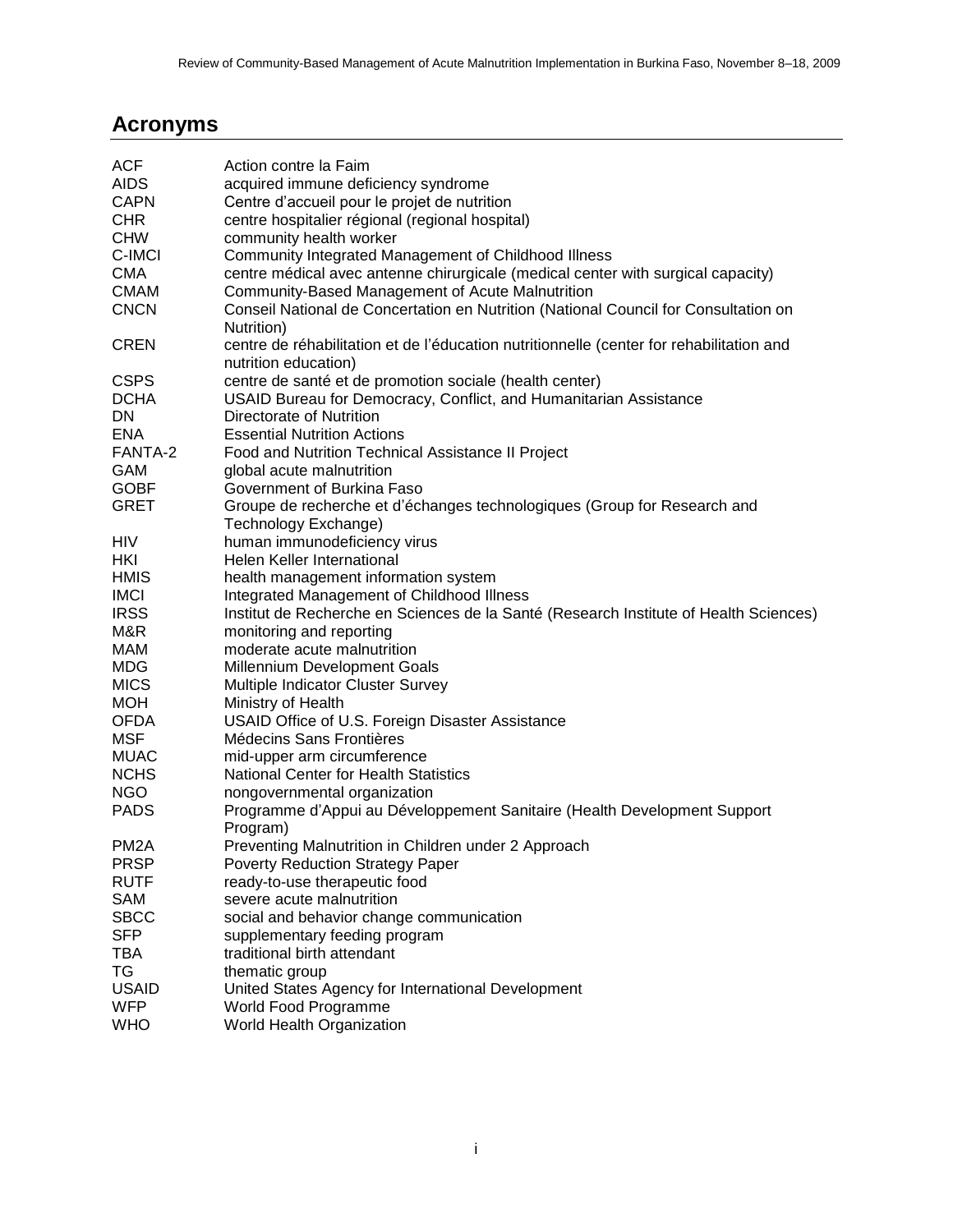- The use of village registers to determine the change in incidence of malnutrition after the  $\bullet$ introduction of CMAM and to estimate the overall impact of the program
- The integration of SAM detection in growth monitoring programs  $\bullet$
- Different motivation systems for CHWs and health care providers  $\bullet$
- Free treatment for all ill children under 5 and pregnant and lactating mothers
- The impact of a general food distribution on nutrition status during the lean period targeted at vulnerable populations in a non-emergency context

### <span id="page-15-0"></span>**2.3 ACCESS TO CMAM SERVICES**

#### <span id="page-15-1"></span>**2.3.1 Initial Implementation of Learning Sites and Gradual Scale-Up of CMAM Services**

The integration of CMAM into routine health services is progressing, with integration in the NGOsupported districts being at more advanced stages. NGO support has been instrumental in demonstrating the feasibility of implementing CMAM and integrating it into routine health services. The other health districts (53 of 63) are implementing CMAM with limited MOH/UNICEF Burkina Faso support with much less advanced geographical (and service) coverage. Integration in NGO-supported districts has also progressed in spite of a donor preference for aspects of the CMAM emergency mode, which saves the greatest number of lives in a short time, but also means using NGO-employed health care providers, NGO-supported field supervision, and NGO-financed motivation for CHWs. This model successfully detects many children with SAM resulting in high caseloads, thereby also demonstrating that the prevalence of SAM is high. It shows that treatment through CMAM is efficient. On the other hand, reliance on a model with substantial external support, both in terms of staff and inputs, could give the impression that CMAM is only manageable with extensive NGO involvement and cannot be sustained in the long term.

After the initial training was completed in 2007, all health districts of Burkina Faso were supposed to initiate CMAM services. CMAM supplies were distributed to all the health districts in the country, even when the health care providers had not yet acquired the knowledge or skills for using them. This situation led to some misuse of therapeutic products, such as using RUTF for the treatment of MAM.

At the national level, the introduction of the management of SAM was not considered a scale-up of a new approach (CMAM) but as the scale-up of an already existing MOH activity (i.e., the management of SAM as promoted through facility-based care in the centre de réhabilitation et de l'éducation nutritionnelle (CREN) (center for rehabilitation and nutrition education). The MOH/DN did not implement a strategy for a phased introduction of CMAM starting from learning sites prior to scale-up and covering all the aspects of the CMAM approach.

Despite the MOH plan to start implementing CMAM nationwide, the scale-up seems to be largely NGOdriven. About 10 of the 63 districts are advanced in CMAM scale-up thanks to NGO support. Only the districts with NGO support actually introduced the full CMAM approach, with the exception of one health district that initiated CMAM with mentoring support for start-up in a few CSPSs before expanding to all health facilities and communities in the health district.

#### <span id="page-15-2"></span>**2.3.2 Community Outreach for Community Assessment and Mobilization, Active Case-Finding, and Referral**

The MOH and implementing partners use several community outreach strategies. However, the MOH and partners have not reviewed, shared, or used lessons from the different strategies for the promotion and scale-up of CMAM. Examples of these community outreach strategies include:

- Relying on existing CHWs and using different motivation modalities  $\bullet$
- Integrating screening for CMAM into community-based growth promotion activities
- Involving volunteer grandmothers and providing incentives
- Screening children on a monthly basis using a door-to-door approach based on the register of children under 5 and pregnant women, which was established at the initiation of the program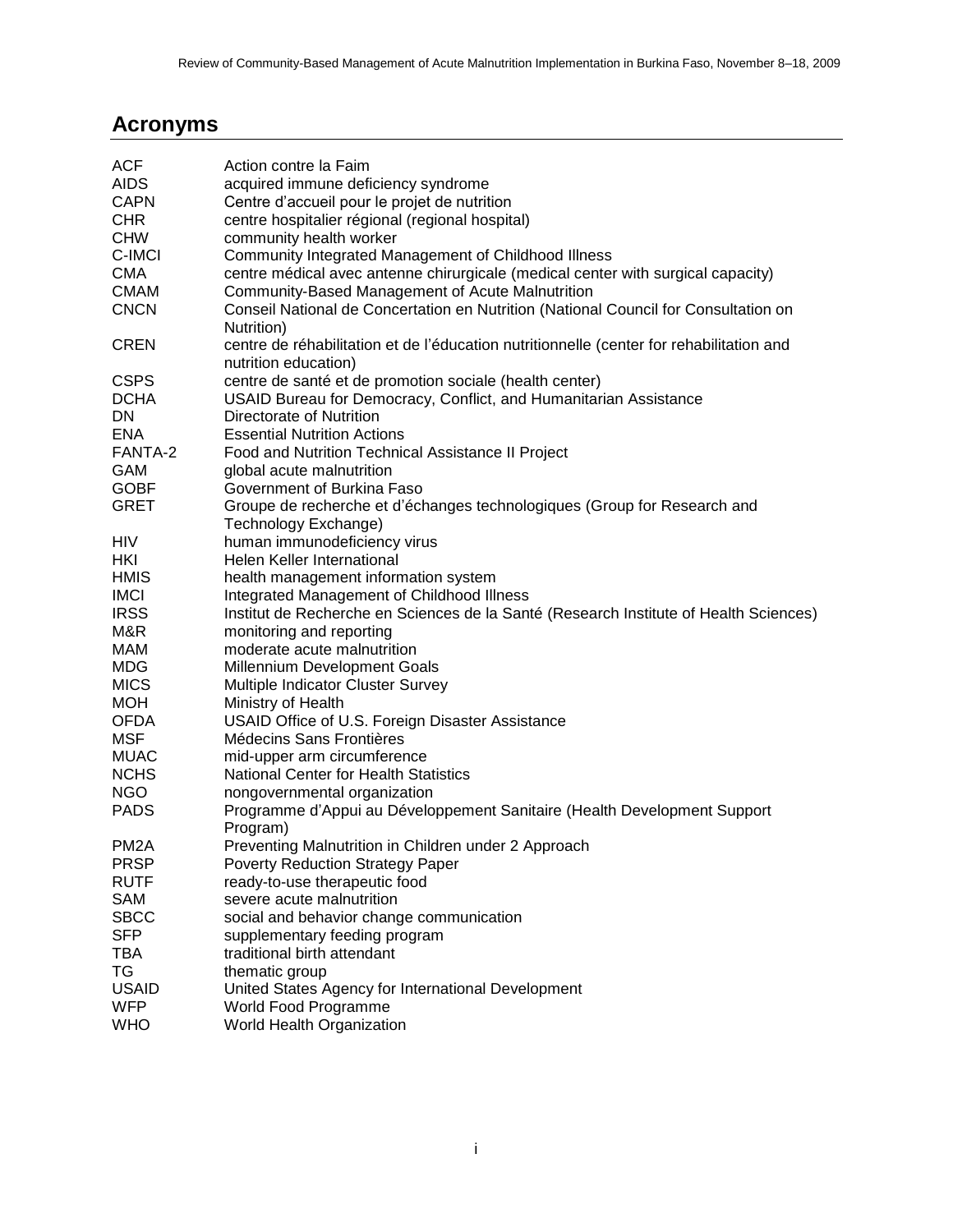Conducting active case-finding campaigns during periods with low self-referral or on a biannual basis

Most CSPS use the existing network of CHWs, many of whom were selected by the communities four decades ago, for community mobilization and screening. The CHWs received training at the initiative of the health district or from the officer in charge of the CSPS. The resulting weakness of the system is evident in the small numbers of children with SAM admitted for treatment in places where the prevalence is known to be high. In such places, the referral and counter-referral system between services is not well established, and it was not possible to know the proportion of children with SAM referred from the community to the health facility, the proportion of those who effectively reached the health facility site and were admitted, or the proportion counter-referred after inpatient care to continue treatment in outpatient care.

In the 10 NGO-supported districts, CHW networks are strengthened and incentives are used for motivation, resulting in varying degrees of success in community outreach. In these districts, CHWs do a better job of following up on absentees and defaulters thanks to the use of extra CHWs to strengthen the outreach activities and to NGO incentives, such as per diem. Some NGOs have even paid the CHWs in their districts for every successfully retrieved absentee or defaulter, which had a positive impact on CMAM service performance.

Most NGO-supported CMAM services the review team visited had a social and behavior change communication (SBCC) component to improve infant and young child feeding and care practices and family planning. Some districts also attempt to integrate community outreach activities with MOHpromoted Essential Nutrition Actions (ENA). To relay key public health messages, the MOH/DN, with nutrition partner support, developed illustrated flip charts that include nutrition counseling messages. These flip charts have been disseminated and are used by nutrition partners in the field. However, it was unclear if the health districts systematically promoted and disseminated these materials. Some NGOs collaborate closely with the health management committees, which are in charge of the Bamako Initiative fee-for-service system, to strengthen community-based initiatives with SBCC activities. SBCC activities include the use of radio spots, community drama, and the SBCC flip chart material.

#### <span id="page-16-0"></span>**2.3.3 Expanded Outpatient Care in Decentralized Health Facilities**

Even though coverage data are scarce, access to CMAM services is known to be improving thanks to increased community outreach and financial support. The MOH and UNICEF Burkina Faso strive to provide all required CMAM supplies to every region in the country to make CMAM available in all CSPSs. The national CMAM guidelines designate the CSPS as the provider of outpatient care for the management of SAM in children 6–59 months without medical complications. In most districts, this strategy has been adopted, but has not always been effectively put into place. In the 10 NGO-supported health districts where there are trained health care providers, outpatient care has been established or has been planned for, aiming at district-wide coverage.

Some health districts with successful active case-finding have up to 60 children in outpatient care per CSPS, overwhelming the health care providers. To better manage these high caseloads, they have set up weekly decentralized care points where a mobile health team provides services at the village level. One site with a high caseload provides services 2 days a week. Where CMAM is integrated more evenly into the CSPS with routine outreach activities covering the health district, the health care providers' workloads and the opportunity costs to the caregivers are reduced.

Despite the decentralization of the activities at the village level, CMAM services could remain timeconsuming for health care providers and caregivers, especially when CMAM activities and communitygrowth monitoring promotion activities are integrated. However, some implementation methods, such as the use of the weight-for-height criterion at the community level and the multiplicity of registers and forms to be filled out upon admission, contribute to the long periods needed to provide the service and could be simplified.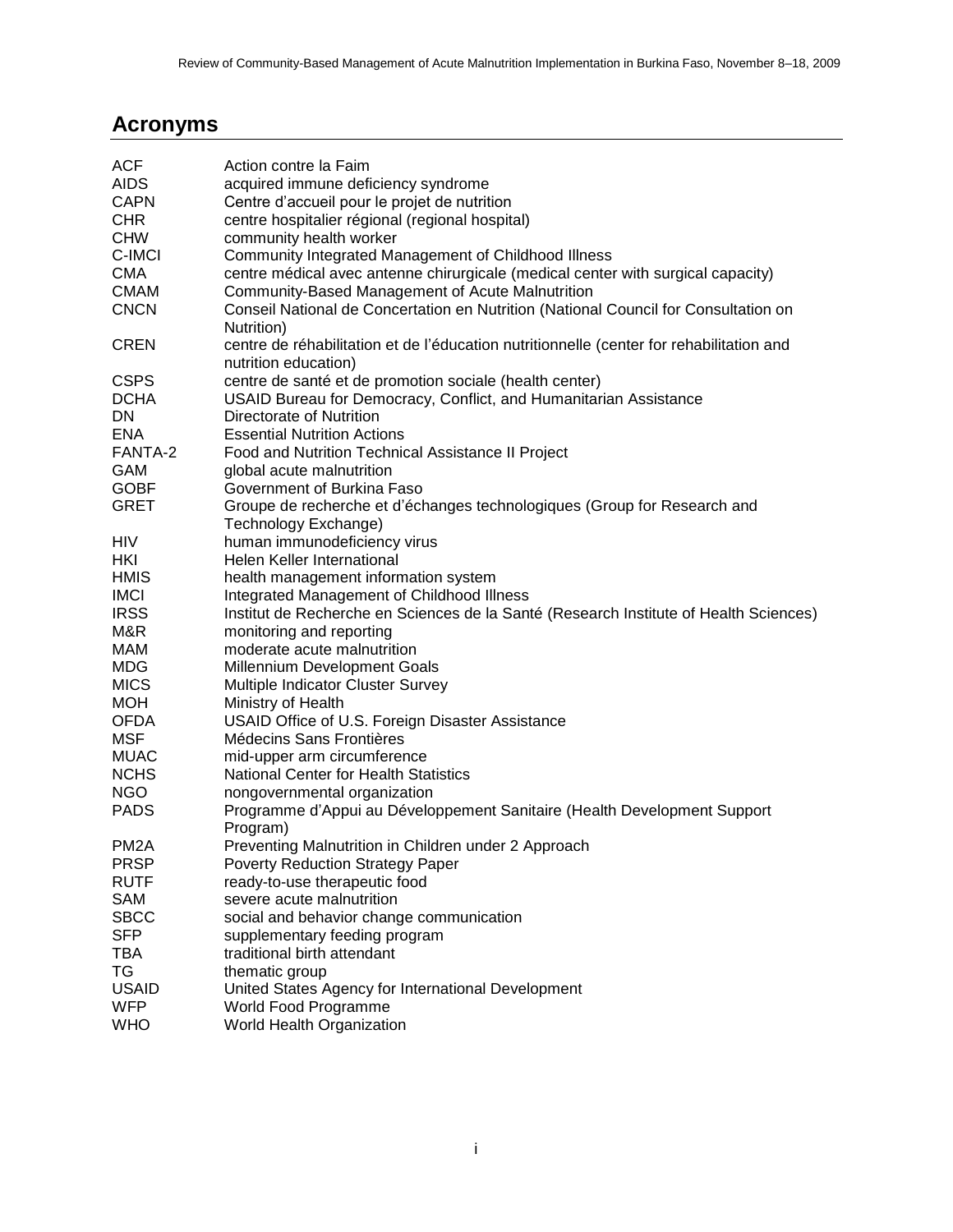Focus group discussions with community leaders and mothers in some of the health districts highlighted that decentralization by itself has an educational impact, especially for men, since they are able to witness the CMAM activities, understand what CMAM is, and are made aware of how children's nutrition status progresses. They then realize why CMAM services are important and become more willing to let their spouses attend the services. Nurses in charge of the CSPS in health districts where not all the communities have decentralized CMAM access points described how community leaders in areas lacking coverage have asked to have their communities included the program.

## <span id="page-17-0"></span>**2.3.4 Inpatient Care in Health Facilities with 24-Hour Care Capacity**

The national guidelines can be interpreted as promoting the management of SAM in inpatient care until full recovery, and this tendency was apparent during the review visit. Facility-based therapeutic care is widespread in Burkina Faso. According to the MOH/DN, there were 106 inpatient care sites in Burkina Faso in 2008. However, in most of the health districts visited, the number of inpatient care sites seemed inadequate. Long distances to health facilities with inpatient care are considered a major barrier to access, especially when caregivers have to pay for treatment for SAM. Moreover, the health system does not facilitate transportation for caregivers. Also, few inpatient care sites were admitting children under 6 months old. Two of the three health facilities with inpatient care visited during the review favored facilitybased care until full recovery. The other site considered outpatient care as post-SAM treatment following full recovery in inpatient care. Explanations for preferring inpatient care until full recovery included the absence of outpatient care sites in the area where the children come from, the desire to minimize the risk of relapse, the uncertainty about the quality of care at the outpatient care site, and the presence of complications usually requiring prolonged medical treatment. As a consequence, the length of stay in inpatient care was long.

Efforts are being made to upgrade the facility-based units known as CREN and to strengthen their adherence to the CMAM guidelines. However, numerous technical gaps were identified during the review visit, such as in some places family foods were provided to children with SAM during the stabilization phase, follow-up on defaulting was not always performed, referral to outpatient care after stabilization was not always made, and follow-up of counter-referred cases from inpatient to outpatient care were not well traced.

## <span id="page-17-1"></span>**2.3.5 Referral System between Inpatient and Outpatient Care**

The CMAM guidelines propose that children with SAM be identified in the community through active casefinding and referred to the CSPS, where a decision is made for referral in case of medical complications. In compliance with the CMAM guidelines, NGO-supported services have systems in place to refer the children that are in need of inpatient care. In the non-NGO-supported services, the CMAM referral system is very much based on the existing referral and counter-referral system rather than being part of the routine health system. The low mortality rate reported among cases managed as outpatients during the review visit suggests that the quality of triage was good and that SAM cases with medical complications were identified and appropriately referred to inpatient care. However, a good system was not in place to effectively trace referred children to verify that they had arrived.

## <span id="page-17-2"></span>**2.3.6 Qualified Health Care Providers**

As indicated above, according to different MOH and NGO representatives, about half of all health service providers in Burkina Faso have been trained in CMAM. All health care providers implementing CMAM have been trained either by the MOH or an NGO, but there is a need for refresher training and continued mentoring and support. Moreover, the current high staff turnover limits the availability of experienced and trained staff.

A CSPS usually has one nurse, one nurse assistant, and one midwife. During the review visit, the team noticed that not all positions at the health facility were filled satisfactorily. On some occasions, lower-level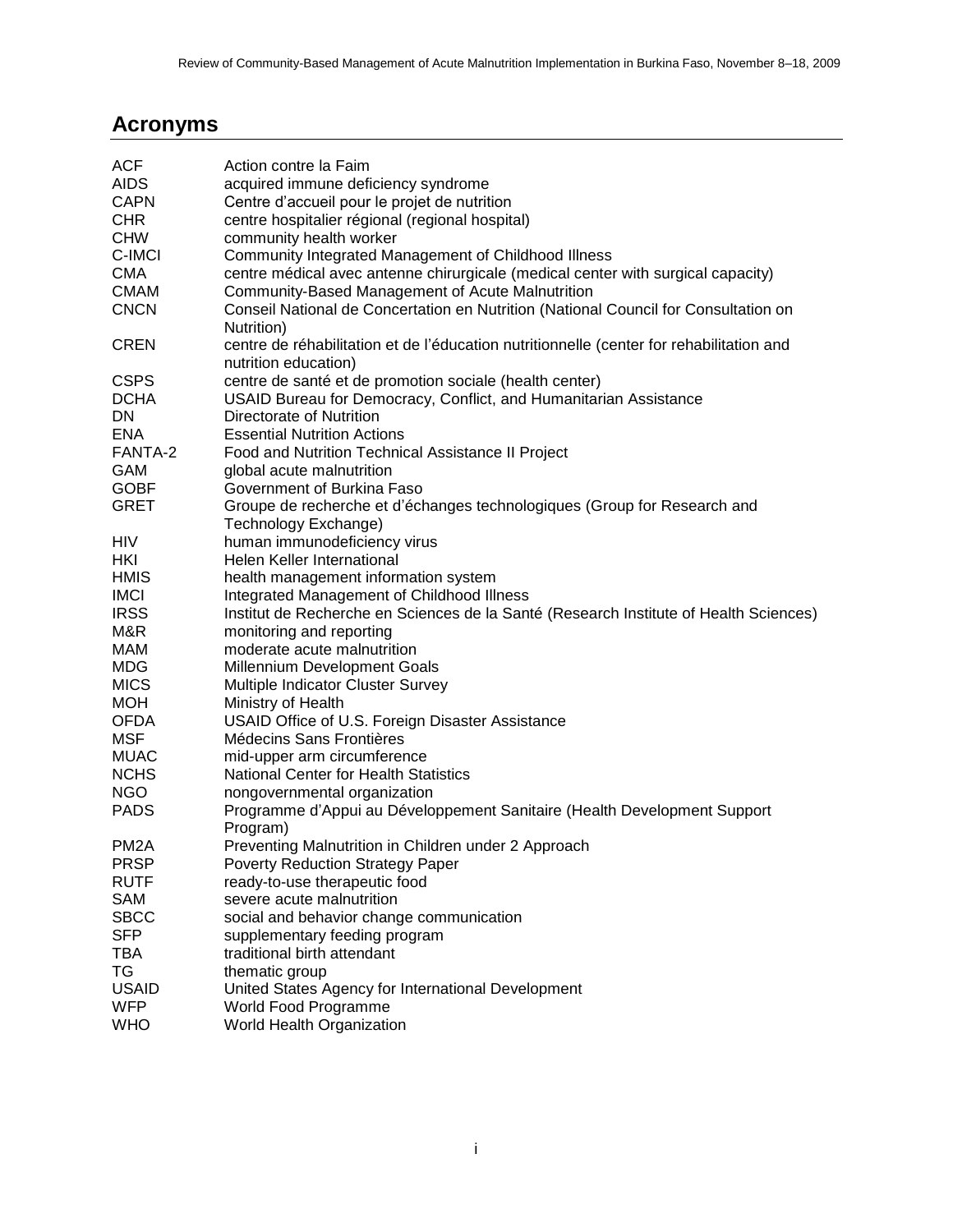health care providers were in charge of the management of SAM without having the qualifications for prescribing or administering antibiotic treatment.

#### <span id="page-18-0"></span>**2.3.7 CMAM Integration into Routine Health and Nutrition Services**

There is a demonstrated willingness among most implementing partners to integrate CMAM into health and nutrition services and to direct their support for CMAM through the national health system. One emergency NGO that usually implements parallel health services was even planning to increase its collaboration with the district health team by promoting the integration of CMAM activities into the district work plan and requesting increased involvement and shared responsibilities for CMAM.

The integration of CMAM into routine health services was apparent during the review visit. Where ENA activities were implemented, the integration was automatic, as CMAM and ENA activities were implemented by the same CHW. Integration with growth monitoring was evident and effective mostly in NGO-supported CMAM programs where they had established routine community-based growth monitoring activities. For example, CMAM integration into ENA and growth monitoring activities had started in some of the districts of Fada Region in 2007 with the help of one implementing partner. On the other hand, community-based integrated management of childhood illnesses (C-IMCI) was initiated in the same region but did not integrate with CMAM. Routine active case-finding from CSPS outpatient departments where CMAM was established was limited. However, when checked, health care providers in outpatient departments had the necessary diagnostic and treatment tools, e.g., MUAC tape, scale, weight-for-height tables, and RUTF ration tables.

In most of the areas visited, CMAM was not linked with voluntary counseling and testing for HIV. This is possibly thanks to the low HIV prevalence, which is around only 2 percent in Burkina Faso. Moreover, HIV services are not well developed despite World Bank investments. There were no indications of CMAM being linked with tuberculosis services, probably because tuberculosis programs predominantly targets adults.

#### <span id="page-18-1"></span>**2.3.8 CMAM Linkages with Informal Health Systems: Traditional Healers and Birth Attendants**

Experience with linking CMAM with the informal health systems was sparse. Only one implementing partner indicated a potential to link with traditional healers. Most actors did not regard traditional healers as potential CMAM partners despite the fact that traditional healers play a very important role in the treatment of SAM, as they often are the first care providers for SAM, and they could suggest harmful practices and often delay presentation at the health facility and start of conventional medical treatment. A village chief confirmed that traditional healers are systematically consulted when a child loses weight and looks thin. To underscore this point, many children admitted in inpatient care had scarifications, indicating that they had visited a traditional healer prior to presenting at the health facility.

In addition, because of the importance and influence that traditional birth attendants (TBAs) have in health-seeking behavior, it is important to work with them. Yet attitudes toward TBAs were similar to those toward traditional healers. This may not improve, because TBAs are often accused by the conventional health system of delaying presentation of health complications at the CSPSs, thereby increasing the risk of death, which has resulted in pressure from the United Nations Population Fund to phase out the TBA system.

#### <span id="page-18-2"></span>**2.3.9 CMAM Linkages with Other Community Services**

CMAM integration with other community services is limited, and, where it exists, the linkage is not well structured. One implementing partner has initiated food security and livelihood activities alongside CMAM. The linkage is fostered through a multisectoral steering committee that oversees the integration of agriculture, animal husbandry, environment, education, and health-related activities. Another partner links CMAM beneficiaries with the general food distribution that takes place during the lean season. Other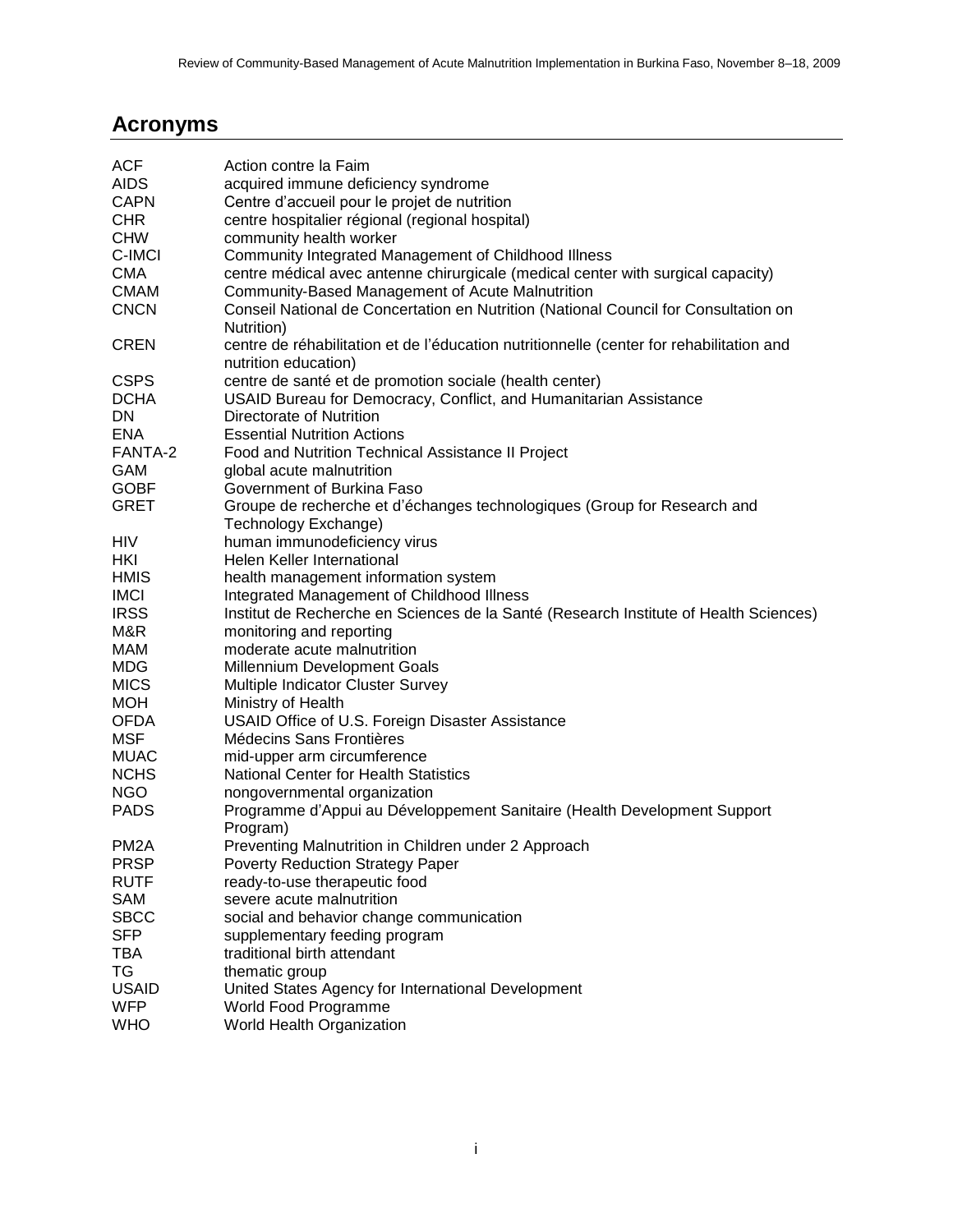partners were involved in developing a USAID Title II multi-year non-emergency food aid program application, through which they plan to investigate ways to promote CMAM as part of the Preventing Malnutrition in Children under 2 Approach (PM2A).

## <span id="page-19-0"></span>**2.4 ACCESS TO CMAM EQUIPMENT AND SUPPLIES**

#### <span id="page-19-1"></span>**2.4.1 Procurement and Management of CMAM Equipment and Supplies**

UNICEF Burkina Faso is the main provider of CMAM equipment and supplies, purchasing and distributing all required drugs and therapeutic foods in the country. Some NGOs also provide equipment and supplies. During the review visit, health facilities with inpatient care sites were functional and did not report problems with therapeutic food supplies. Similarly, outpatient care sites had all the required therapeutic foods and other necessary equipment. The type of MUAC tape available at some sites was only numeric and not color-coded, which could be a problem for illiterate CHWs.

The *Centrale d'Achats des Médicaments Essentiels Génériques et des Consommables* Médicaux (Center for the Purchase of Essential Generic Medicines and Medical Supplies) is the national agency that manages drugs and medical supplies for both the public and private health sector. CMAM equipment and supplies follow a different channel, as they are managed directly by the MOH/DN, UNICEF Burkina Faso, WFP/Burkina Faso, and a few NGOs that have a direct supply route. One NGO is planning to strengthen supply chain management of therapeutic equipment and supplies in one region.

UNICEF Burkina Faso and WFP/Burkina Faso provide transportation for therapeutic and supplementary supplies to the CMAM sites. Sometimes, the regional health bureau takes advantage of professional trips to Ouagadougou to bring back supplies. Some NGOs have established their own procurement and management mechanisms. Stocks are organized at the health district level, with distribution to health facilities.

Some concerns were shared about access to free drug supplies due to reported irregularities in the supply chain. Some inpatient care sites that do not benefit from NGO support reported having difficulties accessing drugs and ensuring free treatment for children with SAM, especially in case of second line antibiotics.

## <span id="page-19-2"></span>**2.4.2 National Production Capacity for RUTF**

There is no national RUTF production capacity. Nutriset has discussed possibilities for establishing a national RUTF production unit with national partners, but no details have yet been worked out.

## <span id="page-19-3"></span>**2.4.3 Information on Other Opportunities for RUF**

The *Groupe de recherche et d'échanges technologiques (*GRET) (Group for Research and Technology Exchange) is involved in producing fortified food supplements and complements based on local foods to target children with MAM. The food supplements and complements include Mizola, a millet, soy, and peanut blend. In the context of the high food price crisis, WFP/Burkina Faso contracted with GRET to produce 60 metric tons of food supplements for urban beneficiaries in Ouagadougou and Bobo Dioulasso.

## <span id="page-19-4"></span>**2.5 QUALITY OF CMAM SERVICES**

#### <span id="page-19-5"></span>**2.5.1 Adherence to Standardized Treatment Protocols**

The national CMAM guidelines, which are in fact guidelines on the management of SAM, do not provide comprehensive guidance on the community-based approach. However, they are well disseminated and referenced, and rather well adhered to. The DN reprimands NGOs that attempt to introduce the latest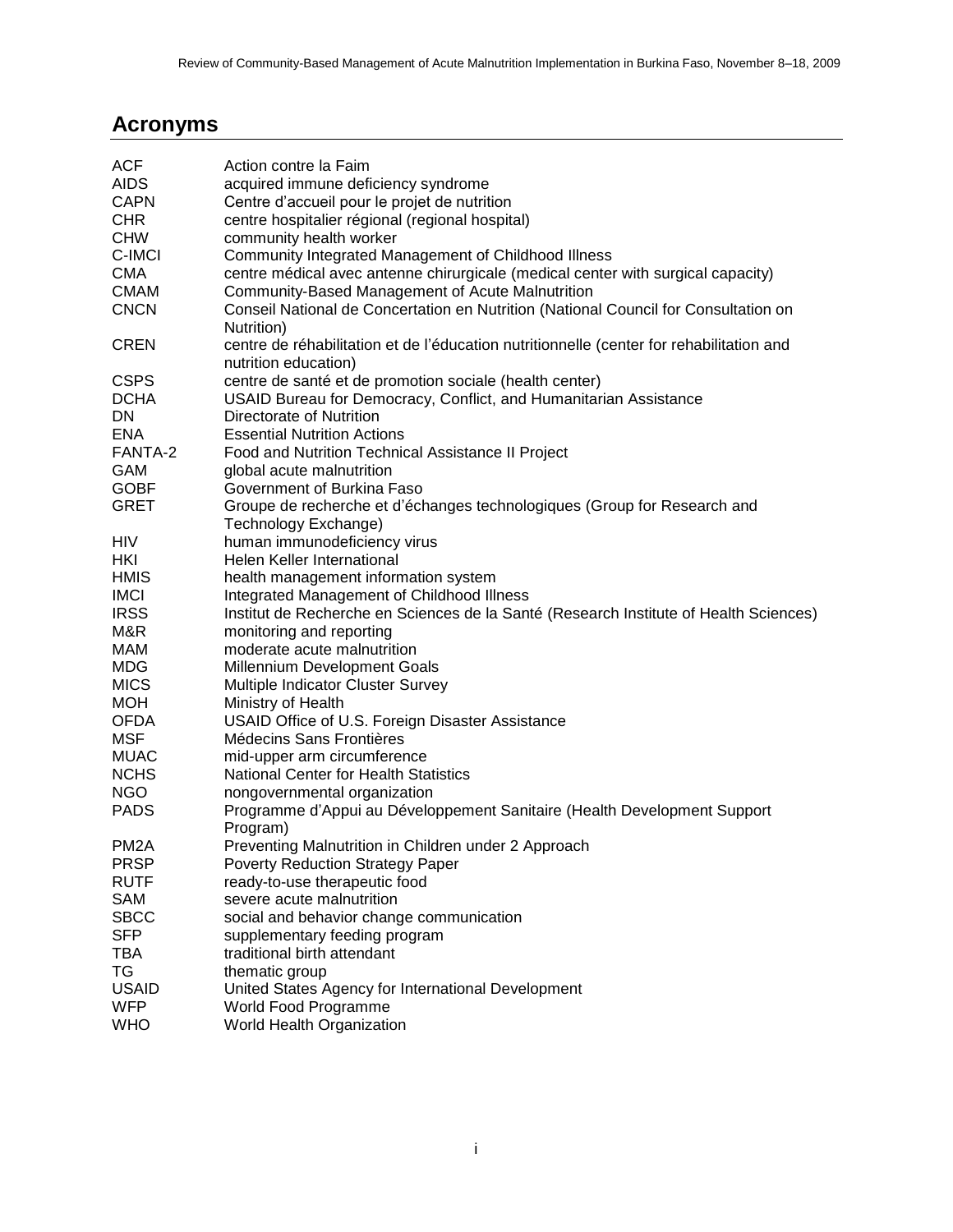international guidance, since it is not yet incorporated into the national CMAM guidelines. Some technical inconsistencies leave room for differing interpretations during training and supervision and during fieldlevel implementation, which leads to a lack of standardized approaches. Some notable variations include promoting the use of the weight-for-height indicator and ignoring MUAC as an admission criterion and not completing treatment until full recovery in inpatient care.

Inconsistencies in adhering to the national guidelines also exist because of variations in the level and quality of technical support and training. For instance, adherence to the guidelines is better in the NGOsupported districts because of a stronger support and supervision system. Implementation variations also result from operations research, where new approaches are piloted, such as the adaptation of admission and discharge criteria using the WHO standards. Additionally, it has not always been possible to provide all routine medicine as prescribed in the treatment protocol because of drug shortages.

## <span id="page-20-0"></span>**2.5.2 Support and Supervision**

Supervision takes place at the different levels. The MOH and UNICEF Burkina Faso initiated joint supervision and developed a monitoring tool for quality improvement, but concrete results from the use of the tool were not observed during the review visit. Health district, regional, and/or national focal points supervise health care providers involved in CMAM. NGOs have also organized supportive supervision for their field teams. But on numerous occasions health care providers expressed the need for strengthened support and supervision. This finding underscores the need to enhance knowledge and skills of coordinators who work at the national level to appropriately enhance knowledge and skills of coordinators and health care providers in the field.

## <span id="page-20-1"></span>**2.5.3 Monitoring of Individual Care**

The national guidelines promote standardized monitoring tools. An example is the CMAM individual treatment card, which is well adapted for inpatient care but less so for outpatient care. However, occasionally, individual cards were replaced by the CSPS's register, or were locally designed or adapted. There is no standard referral slip to monitor children referred from the inpatient to outpatient site and vice versa.

The review team noted that health care providers do not always entirely understand the reason for collecting extensive monitoring information. Therefore, cards are infrequently filled out or are not used for their intended purpose: to monitor clinical status, to monitor progress in nutritional status, and to assist in decision making for correcting treatment.

There is no well-organized filing system for keeping individual cards at the CSPS, and individual treatment cards are often kept in disarray. For instance, treatment cards of children with SAM no longer in treatment were stored on the same premises, but could not be retrieved or were mixed in with cards from children in ongoing treatment.

#### <span id="page-20-2"></span>**2.5.4 Monitoring and Reporting of Service Performance and Integration into the National Health Management Information System**

Continuous monitoring of CMAM service performance contributes to its quality by identifying weaknesses and constraints and enabling initiation of corrective measures. Unfortunately, during the review visit, it was not possible to gain access to national reporting data, so the team could not determine if systems were in place to analyze the data and report on national CMAM service performance. However, the review visit offered ample opportunities to evaluate M&R performance at the field level.

The CMAM M&R system is not thoroughly developed. It is not part of a nutrition surveillance system or linked with the national health management information system (HMIS). At the same time, monitoring tools could be improved. The MOH and UNICEF Burkina Faso have recognized this need and are in the process of strengthening the tools for monitoring, supervision, reporting, and performance of CMAM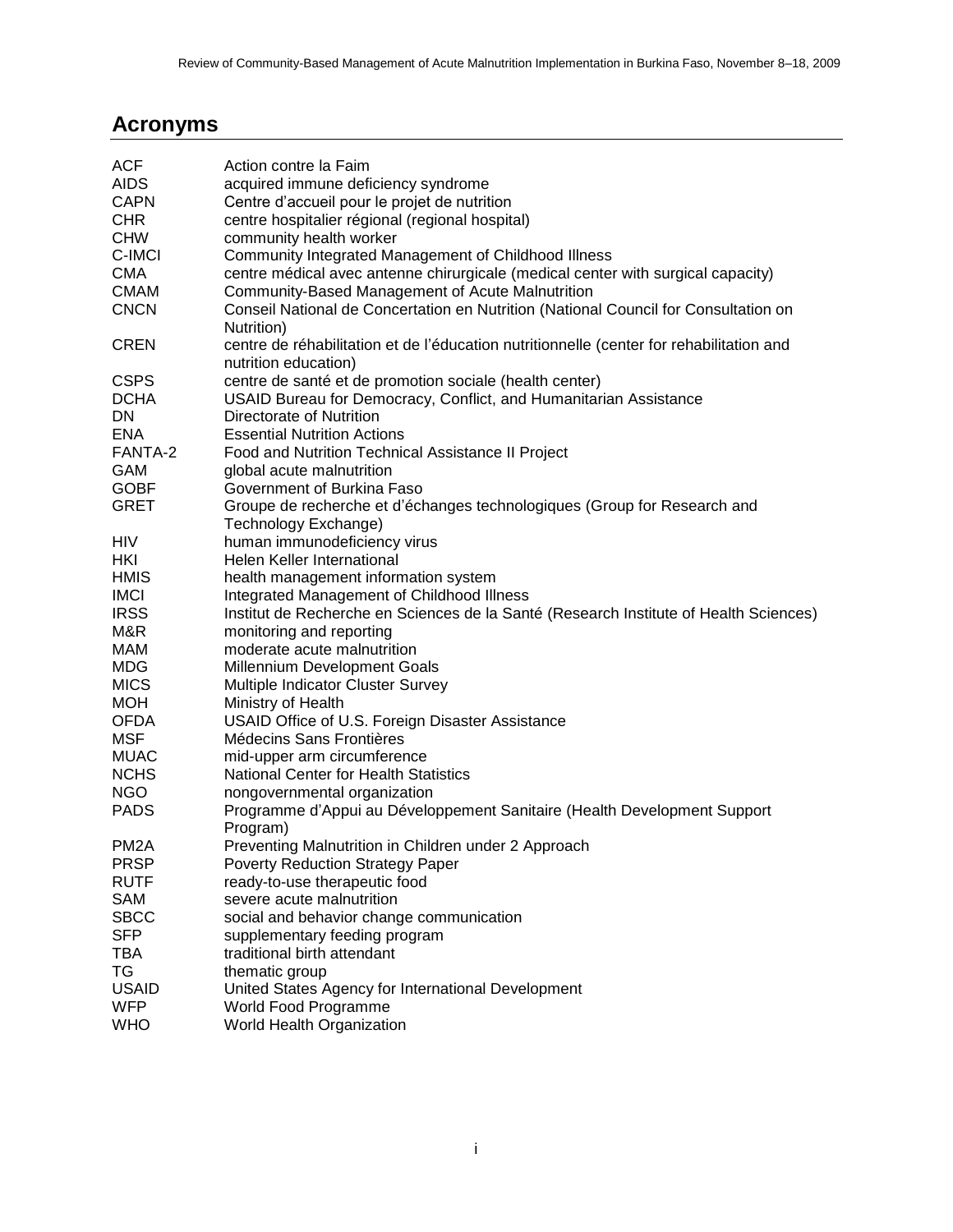programs. The national guidelines call for collecting monitoring data on a monthly basis to be sent to the district and regional levels. Regional reports are sent every quarter to the national level and integrated into a national CMAM repository, which UNICEF Burkina Faso manages. Some districts with NGO support have the capacity to locally interpret the monitoring data and are able to analyze service performance.

As described above, the review team noted flaws in the M&R system, such as duplication of registries, unsorted files, absence of tally sheets, complicated individual monitoring cards, and lack of training in their use, resulting in incomplete monthly reports. Systematic analysis of service performance and a feedback system for health care providers are absent. There is no system to tally weekly performance or to fill out the monthly report in the absence of such a tally sheet. During the review visit, none of the CSPSs was using weekly tally sheets, so reports seemed to be compiled at the end of the month based on the facility's register. The monthly reporting sheet also does not promote understanding of service performance on the part of the person in charge of filling it out: There is neither a tally sheet nor a summary sheet that shows performance indicators or provides the formula to calculate the performance indicator, leaving reporting tool users unable to calculate and interpret their performance. The lack of capacity to interpret one's own data could influence motivation to report and collect quality data. Moreover, there is no district, regional, or national feedback system that would partially fill this gap in analyzing and consolidating national and regional reporting on acute malnutrition and service performance. The CMAM information gathered in the national repository also does not appear to be analyzed, interpreted, or summarized into a qualitative reporting system.

#### <span id="page-21-0"></span>**2.5.5 Evaluation of CMAM Services, including Coverage and Barriers to Access**

No coverage surveys have been carried out to date. During the review visit, in most of the health districts with CMAM, it was hard to understand or obtain accurate coverage estimates in the absence of an appropriate coverage survey method. In addition, two factors make coverage estimates more difficult: Most of the NGOs do not cover the whole health district they support, and children also come for treatment from untargeted neighboring health districts.

Several of the NGOs supporting CMAM expressed their intention to conduct a coverage survey in the coming year. The actual coverage is expected to be low, with the possible exception of one NGO that had a very heavy caseload in its health district compared to the others, which implies expected high service coverage. One donor commissioned an evaluation of health districts supported by two implementing partners, but since the evaluation took place in the early phase of implementation, it did not report on coverage or offer findings to suggest adapting implementation strategies to promote coverage. The UNICEF Regional Office in Dakar plans to review CMAM programs in 10 West African countries, including Burkina Faso, and will look into this issue.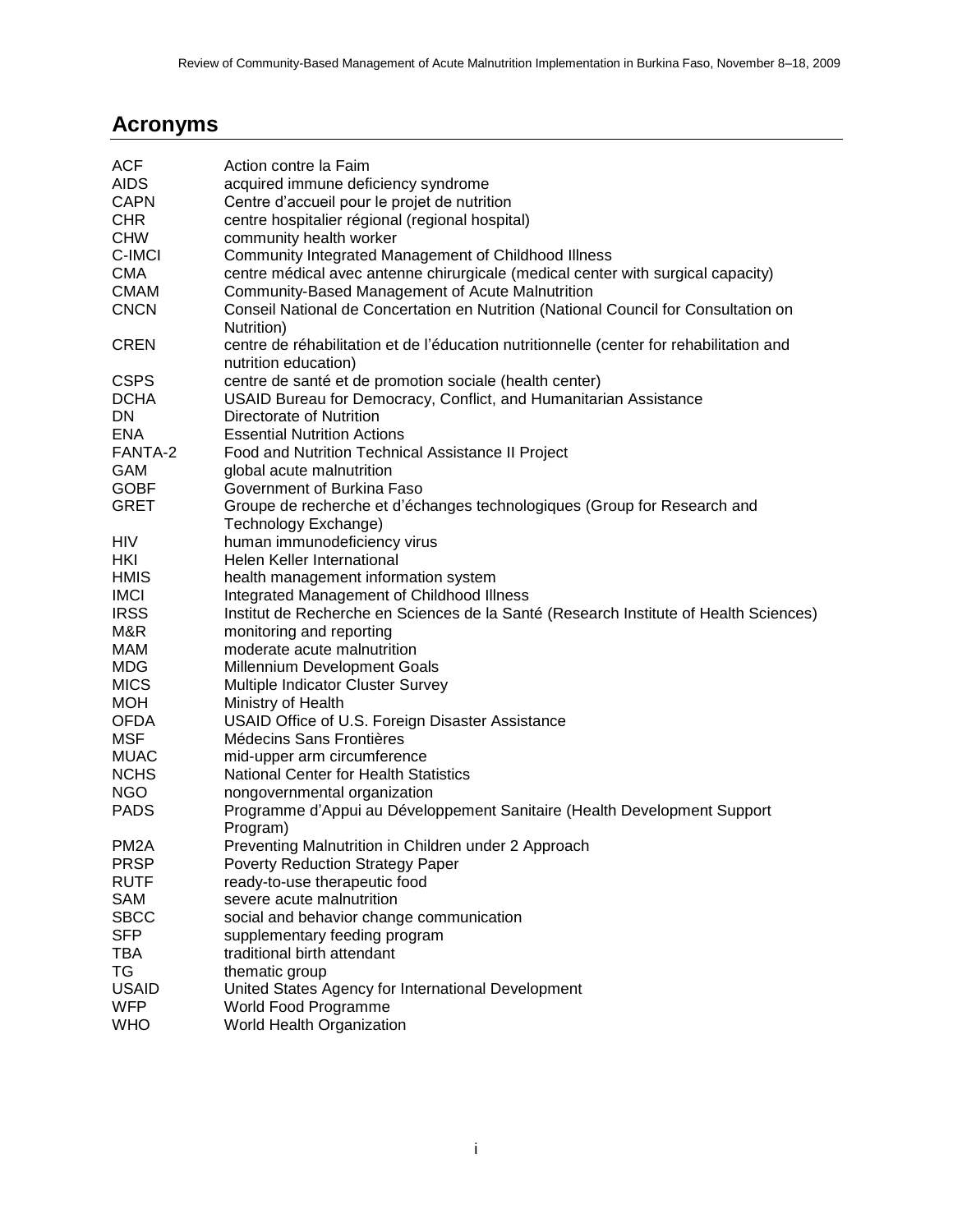## <span id="page-22-0"></span>**3. Conclusions**

The CMAM review visit occurred at an early stage of the integration and scale-up of CMAM in Burkina Faso. However, the review team identified considerable strengths and potential promising practices related to active case-finding, community involvement, and quality outpatient and inpatient care, as well as some constraints.

The MOH/DN and national and international implementing partners initiated an effective rollout of the CMAM approach under MOH/DN leadership, supported by UNICEF Burkina Faso and implementing partners. By prioritizing nutrition, the MOH/DN fostered an enabling environment for CMAM with active involvement and leadership of the MOH/DN and partners contributing to a potentially effective rollout of the CMAM approach. This collaboration in CMAM contributed to further strengthening coordination and collaboration among the key nutrition partners in the country, but this did not necessarily affect coverage of and access to quality services.

The national CMAM guidelines are the main reference for CMAM field operations, and they serve as the basis for training health managers and health care providers at the health district, health facility, and community levels. The guidelines need substantial technical revisions to better reflect the country-specific context in which CMAM is implemented. Key aspects that revisions should take into consideration are the limited number of health facilities and the shortage of skilled health care providers. Revisions should aim to maximize the chances of achieving the main CMAM service objectives: to reduce child mortality and accelerate progress toward achieving the MDGs.

Despite the significant effort made to train a large cadre of district mangers and health care providers, important gaps in the management, quality, and number of trained staff were reported during the review visit. Moreover, the existing CHW network showed weaknesses that negatively affect CMAM services, as reflected in the small number of children referred in areas with a high SAM prevalence rate. CHWs lack competencies and means to provide quality community outreach, and there is not yet a national strategy in place to strengthen the CHW system.

Access to services received a boost from financial subsidies and support provided by donors, NGOs, the United Nations, and the GOBF. Equipment and supplies for CMAM implementation seemed to be adequately provided, even though the question of long-term sustainability of resources remains to be answered adequately. The MOH/DN secured a line for nutrition activities in the national budget, which is a hopeful major step toward promoting sustainable CMAM scale-up.

Deliberate efforts to achieve integration of CMAM with the other relevant child survival strategies were considered, including Integrated Management of Childhood Illness (IMCI) and growth monitoring.

A standardized CMAM M&R system was established, but data on performance of case management and coverage were not readily available nationally or regionally. The CMAM information system was therefore limited and unable to inform corrective strategies for improving services. The information system did not link to the national nutrition surveillance system or the HMIS.

Promising practices and innovative initiatives were identified, but have not been documented or shared. A forum for CMAM technical information exchange was missing and existing nutrition forums underutilized.

While the MOH did not yet systematically integrate CMAM into national health and nutrition policies and strategic plans, acute malnutrition gained in importance at the national and regional policy and implementation levels. The progress of the past 3 years needs to be consolidated and translated into long-term capacity strengthening strategies to adequately and sustainably address CMAM in Burkina Faso.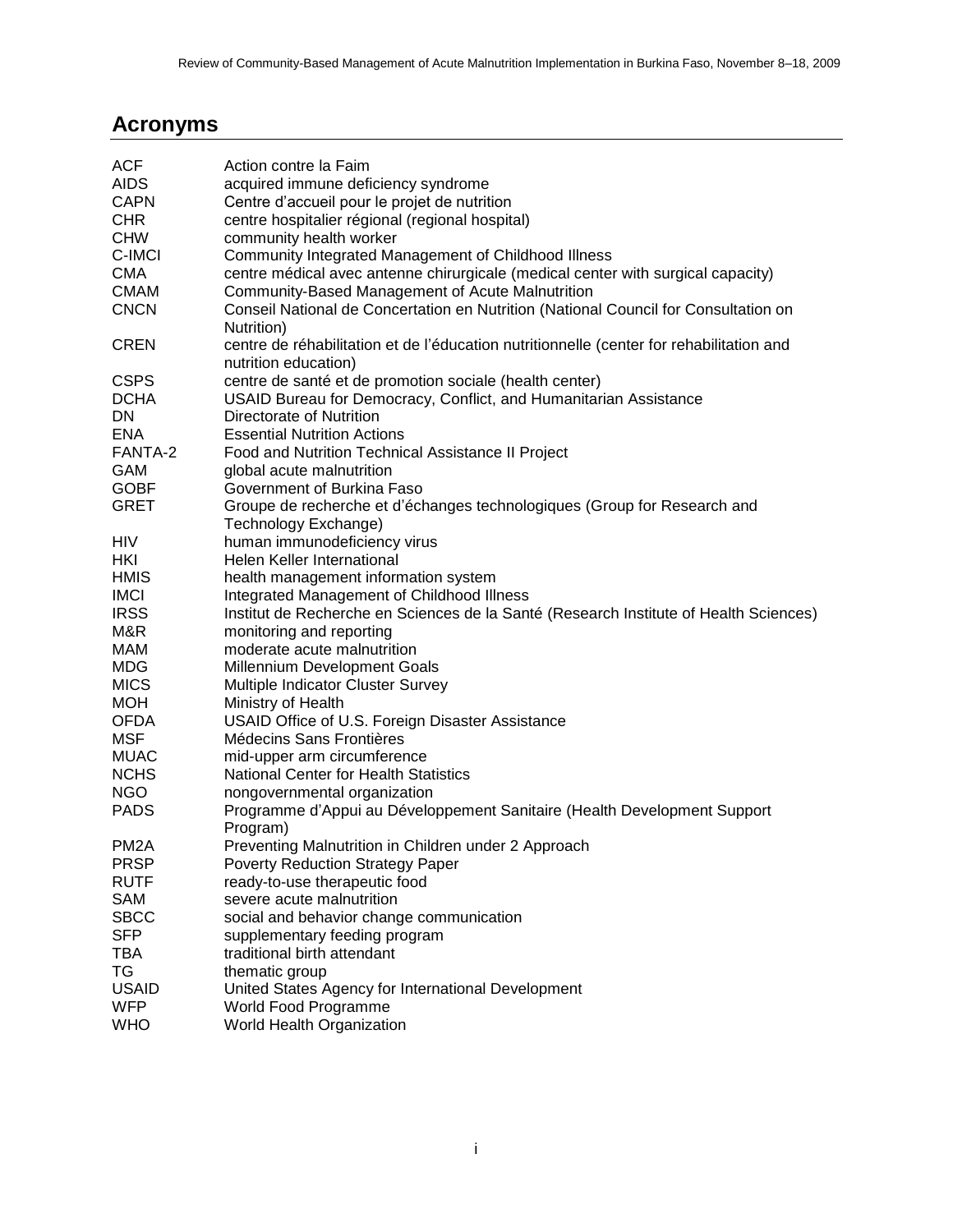## <span id="page-23-0"></span>**4. Recommendations**

#### <span id="page-23-1"></span>**4.1 GENERAL RECOMMENDATIONS TO SUPPORT THE MOH/DN AND IMPLEMENTING PARTNERS IN CMAM**

- Strengthen the technical leadership role in CMAM of the national MOH/DN, regional coordinators, and health district focal points. Enhancing the MOH/DN technical leadership could include the following activities:
	- $\circ$  Strengthening technical expertise, e.g., a technical expert could contribute to consolidating national and international evidence-based learning and information, and support national experts to strengthen national and regional capacities.
	- o Establishing learning sites that offer internships with qualified mentors.
	- o Developing a capacity strengthening strategy to support the scale-up of quality CMAM services, with a special focus on strengthening the knowledge and skills of the health care and community service providers.
	- $\circ$  Revising the CMAM guidelines in 2010 and addressing the technical constraints that have negative implications for service quality.
	- $\circ$  Strengthening the information-sharing system and creating a national information forum.
	- $\circ$  Strengthening the M&R system and systematically evaluating performance and coverage to inform the scale-up strategy, eventually linking it with the national HMIS. CMAM will need a parallel and reinforced M&R system until there is a good understanding and strategy for continuous quality improvement before it can be integrated into a national nutrition surveillance system and the HMIS. A more elaborate M&R system will be required and a standardized minimum reporting system should be put into place and promoted.
	- o Reviewing and documenting innovative approaches and lessons learned on integration and scale-up.
- Put in place a strategy to strengthen capacities for implementation and scale-up. To increase and maintain CMAM knowledge and skills it is recommended to:
	- $\circ$  Develop a national training strategy to provide pre-service and in-service training to health managers and health care providers, including practical training and mentoring.
	- $\circ$  Temporarily hire a CMAM expert to establish an expert team in the MOH/DN to train CMAM trainers and supervisors, and strengthen continuous supervisory support to significantly enlarge the base of highly qualified CMAM experts in-country.
	- $\circ$  Strengthen supervisory support at the field level to be more systematic. For this to materialize there is a need to enhance the knowledge and skills of coordinators who work at the national level to appropriately enhance the knowledge and skills of coordinators and health care providers in the field.
- Organize a national workshop for developing a strategy for capacity strengthening, strengthening information sharing and lessons learned, and reviewing guidelines. An international expert could assist the MOH/DN for 2 months in preparing a national CMAM workshop covering the following activities:
	- $\circ$  Revising the national CMAM guidelines to better reflect international best practices, and transitioning to the newly established admission and discharge criteria.
	- o Providing guidance and technical assistance to the MOH/DN and implementing partners.
	- o Reviewing and standardizing CMAM training materials.
- Create a forum as an opportunity to share and discuss lessons from promising practices and challenges from field implementation. Such a forum would enable policy makers, coordinators, and implementers to discuss, learn, adapt, and strengthen coordination and collaboration, and inform strategies.
- Support national academic and teaching institutions in Ouagadougou that are interested in participating in CMAM training and research to: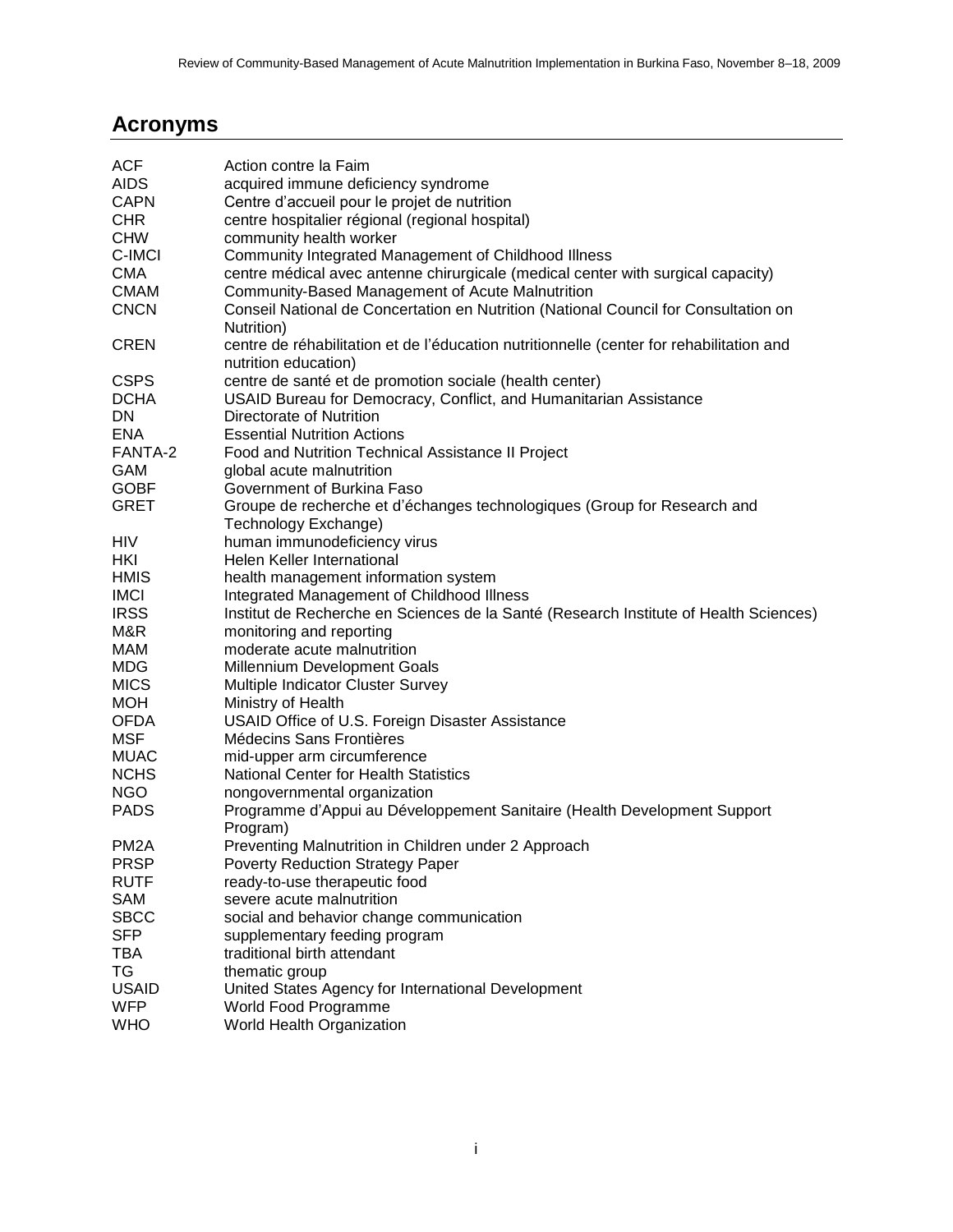- o Adapt the current IRSS training modules on the management of acute malnutrition to incorporate the CMAM approach, and support reinsertion of the modules into the sixth year of the medical school curriculum.
- $\circ$  Take a leading role in CMAM in-service training for health care providers, in collaboration with the MOH/DN and UNICEF Burkina Faso.
- $\circ$  Explore opportunities to integrate CMAM pre-service training into other health professional institutions in the country.
- $\circ$  Encourage and support research institutions to be involved in CMAM operations research.
- o Evaluate different methods of supervising, training, mentoring, and motivating CHWs.
- Policies and strategies must be further refined to ensure that CMAM is integrated into the health system and scaled up throughout the country. The GOBF should ensure consistency in the continuum of services at the health policy level:
	- $\circ$  Adapt a national antibiotic policy that allows lower-level health care providers to prescribe and administer antibiotic treatment.
	- $\circ$  Adopt international criteria for diagnosing acute malnutrition, and revise the role of CHWs, based on the IMCI policy, including an institutionalized system for community outreach.

#### <span id="page-24-0"></span>**4.2 SPECIFIC RECOMMENDATIONS FOR OFDA AND ITS IMPLEMENTING PARTNERS**

- CMAM should be viewed as a disaster risk reduction activity in countries with endemic crisis-level acute malnutrition. OFDA should therefore build preparedness capacity by supporting the sustainability of CMAM services within national structures and strengthening in-country technical expertise. OFDA can do so by encouraging and providing funds to implementing partners to:
	- o Provide an international expert to strengthen national expertise.
	- $\circ$  Provide national and international learning visits for national and international staff and national MOH key partners to countries with more advanced CMAM activities.
	- $\circ$  Establish quality learning sites with a qualified mentor and opportunities for internships, and facilitate/organize/invite learning visits.
	- o Promote operations research by involving national institutions.

At the same time, OFDA should recognize that Burkina Faso continues to experience emergency levels of GAM. OFDA should work with the USAID/Burkina Faso to consider emergency funding to international partners skilled in CMAM, not only as a disaster response, but also through disaster risk reduction programs that aim for a longer-term strategic approach, including training national NGOs to take on the implementation role. OFDA should continue to encourage development donors to recognize acute malnutrition as a development problem and to fund programs that address the management of acute malnutrition to establish a more strategic international aid package.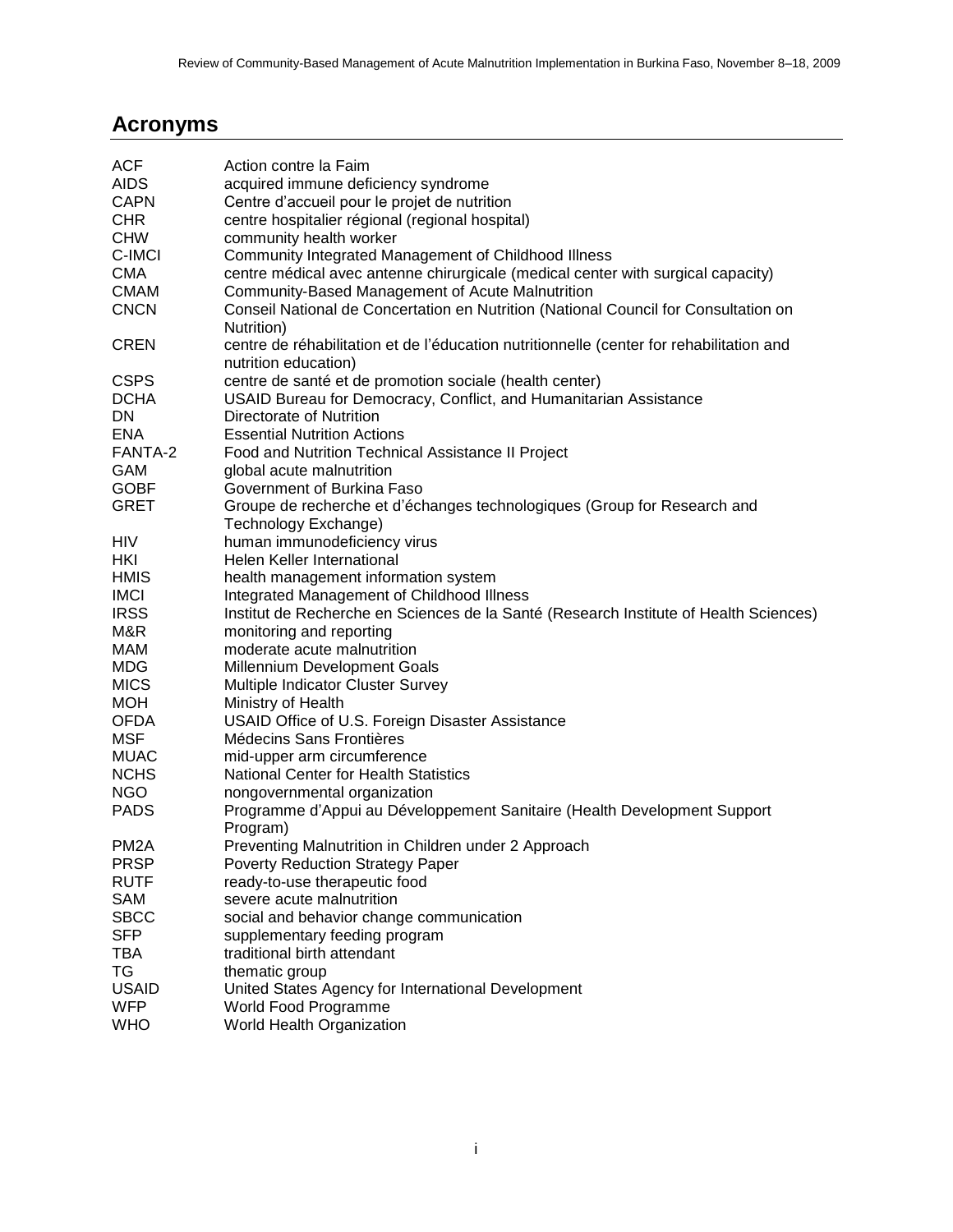

# <span id="page-25-0"></span>**Annex 1: Map of Burkina Faso Site Visits**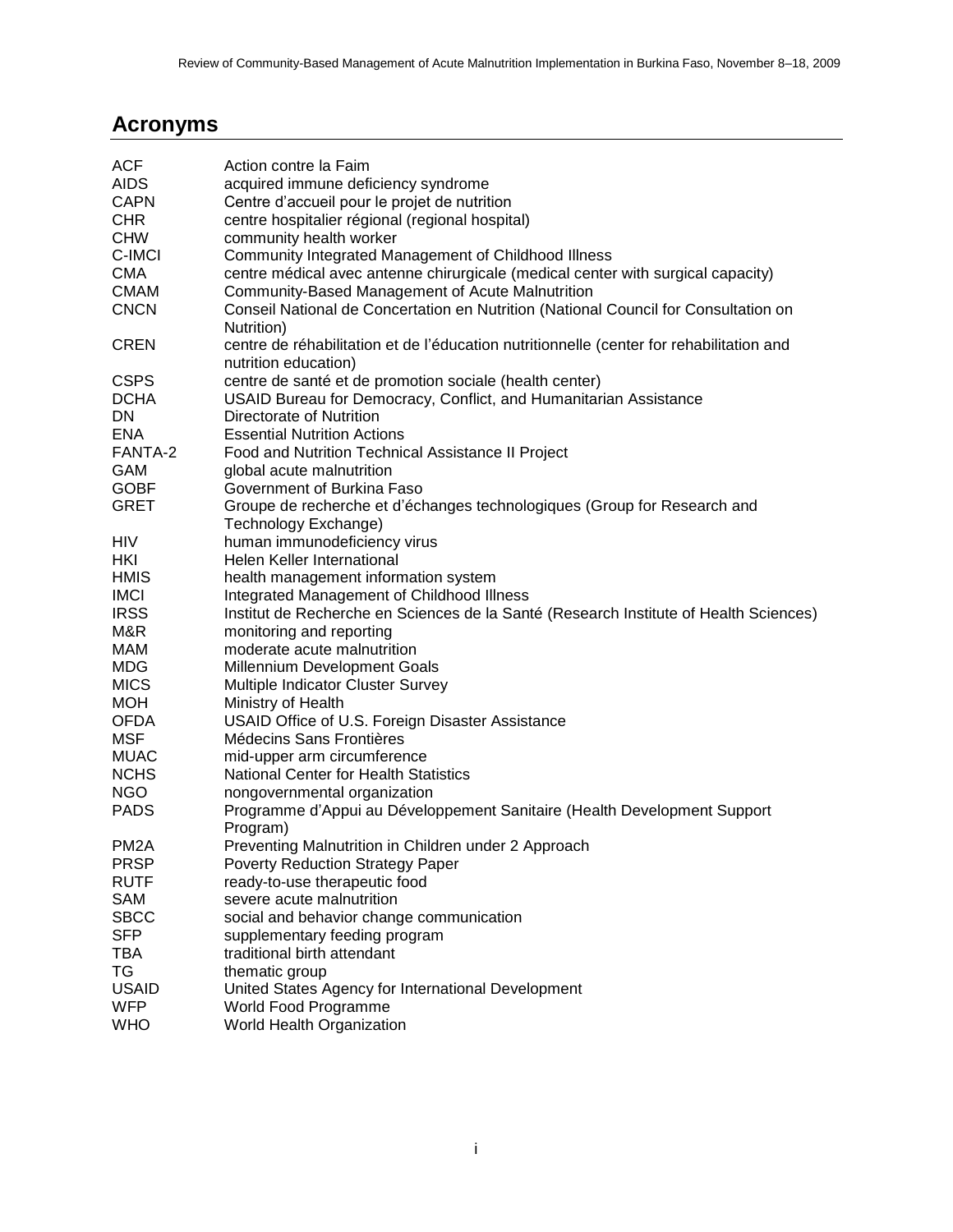# <span id="page-26-0"></span>**Annex 2: Burkina Faso Schedule of Meetings and Site Visits**

| <b>Date</b> | Organization                                                                                                               | <b>Location</b> | <b>Purpose</b>            |
|-------------|----------------------------------------------------------------------------------------------------------------------------|-----------------|---------------------------|
| November 8  | <b>UNICEF</b>                                                                                                              | Ouagadougou     | Meeting                   |
| November 9  | <b>USAID</b>                                                                                                               | Ouagadougou     | Meeting                   |
| November 9  | Croix Rouge Belgique                                                                                                       | Ouagadougou     | Meeting                   |
| November 9  | Helen Keller International (HKI)                                                                                           | Ouagadougou     | Meeting                   |
| November 9  | <b>UNICEF</b>                                                                                                              | Ouagadougou     | Meeting                   |
| November 10 | Terre des Hommes                                                                                                           | Ouagadougou     | Meeting                   |
| November 10 | Action contre la Faim (ACF)                                                                                                | Ouagadougou     | Meeting                   |
| November 10 | <b>GRET</b>                                                                                                                | Ouagadougou     | Meeting                   |
| November 10 | <b>WFP</b>                                                                                                                 | Ouagadougou     | Meeting                   |
| November 11 | Save the Children<br>CREN, centre médical avec<br>antenne chirurgicale (CMA)<br>(medical center with surgical<br>capacity) | Kaya            | Meeting and site<br>visit |
| November 11 | <b>DN</b>                                                                                                                  | Kaya            | Meeting                   |
| November 12 | Médecins Sans Frontières<br>(MSF)<br>CREN, CSPS                                                                            | Yako            | Site visit                |
| November 12 | MOH,<br>CREN, CSPS                                                                                                         | Goursi          | Site visit                |
| November 13 | Croix Rouge<br><b>CREN, CSPS</b>                                                                                           | Ouahigouya      | Site visit                |
| November 13 | Terre des Hommes<br>CREN, CMA                                                                                              | Tougan          | Site visit                |
| November 15 | Institut régional de santé<br>publique (IRSP)                                                                              | Ouagadougou     | Meeting                   |
| November 16 | HKI<br><b>CSPS, Partner Country</b><br><b>Advisory Council</b>                                                             | Fada Ngourma    | Site visit                |
| November 17 | CREN, CHR                                                                                                                  | Fada Ngourma    | Site visit                |
| November 18 | <b>IRSS</b>                                                                                                                | Ouagadougou     | Meeting                   |
| November 18 | <b>UNICEF</b>                                                                                                              | Ouagadougou     | Meeting                   |
| November 18 | <b>ECHO</b>                                                                                                                | Ouagadougou     | Meeting                   |
| November 18 | HKI                                                                                                                        | Ouagadougou     | Meeting                   |
| November 18 | DN                                                                                                                         | Ouagadougou     | Meeting                   |
| November 19 | <b>WFP</b>                                                                                                                 | Ouagadougou     | Meeting                   |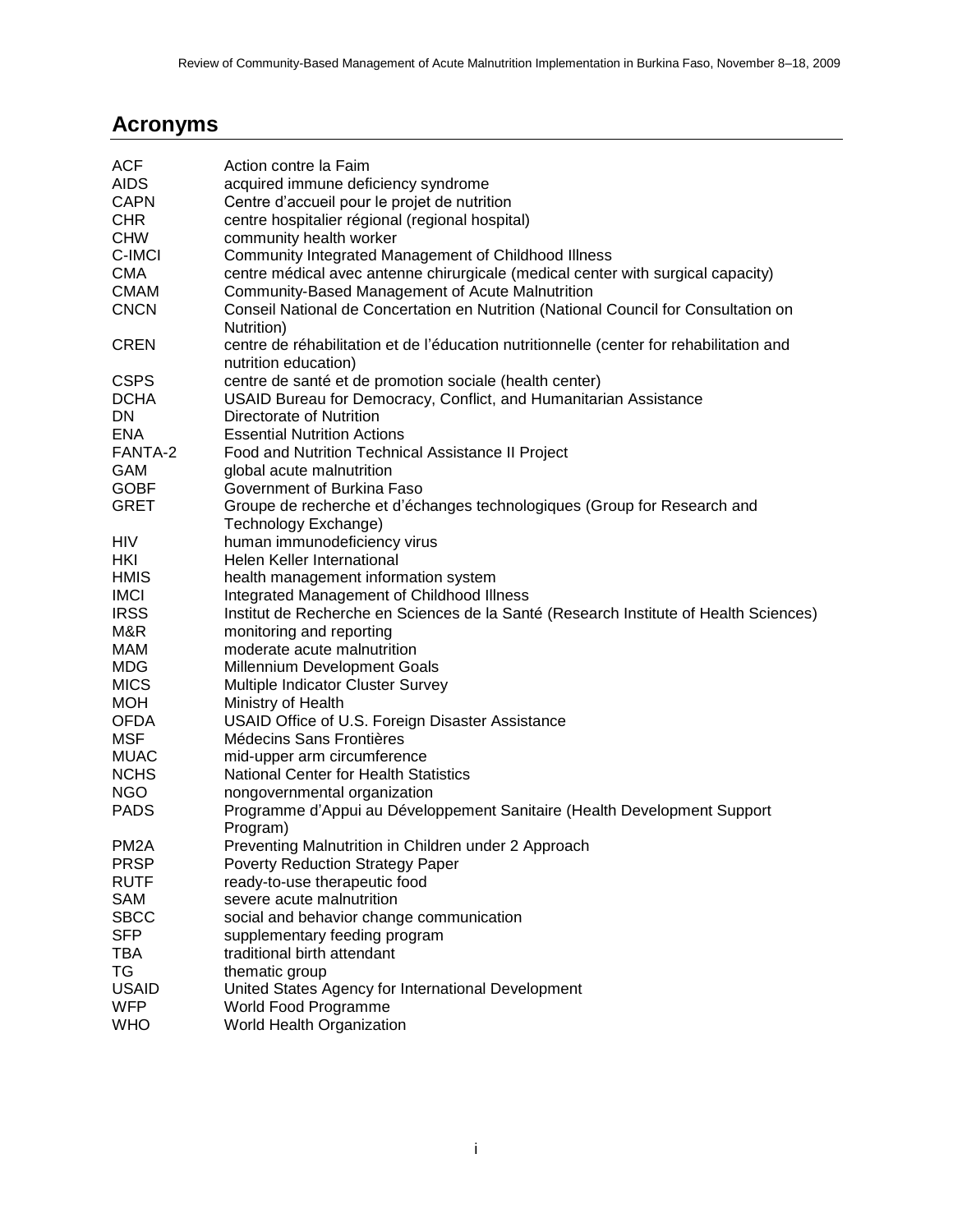# <span id="page-27-0"></span>**Annex 3: Burkina Faso Contacts**

| <b>Affiliation</b>        | <b>Name</b>                       | <b>Position</b>                                        |
|---------------------------|-----------------------------------|--------------------------------------------------------|
| <b>Donors</b>             |                                   |                                                        |
| ECHO, European Commission | Heriette Nikiema                  | Principal program assistant                            |
| <b>USAID</b>              | Mark Wentling                     | Country program manager for<br><b>Burkina Faso</b>     |
| <b>NGOs</b>               |                                   |                                                        |
| <b>ACF</b>                | <b>Claire Ficini</b>              | Country director                                       |
| <b>ACF</b>                | <b>Benedicte Hilaire</b>          | <b>Nutrition Program Coordinator</b><br>Diapaga        |
| <b>ACF</b>                | Dr Emmanuel Kalivogue             | Nutrition coordinator                                  |
| Croix Rouge Belgique      | Rosine Jourdaine                  | Chef de mission                                        |
| Croix Rouge Belgique      | Francois Morisho                  | Nutrition technical assistant                          |
| Croix Rouge Belgique      | Medah Thiombiano<br>Rahamatou     | <b>Nurse</b>                                           |
| Croix Rouge Belgique      | Sanga Yahiya                      | Facilitator                                            |
| Croix Rouge Belgique      |                                   | Centre d'accueil pour le projet de<br>nutrition (CAPN) |
| <b>GRET</b>               | Claire Kaboré                     | Country representative                                 |
| <b>HKI</b>                | Anne Tarini                       | Director                                               |
| <b>HKI</b>                | Felix Ouoba                       | <b>Fada Regional Coordinator</b>                       |
| <b>HKI</b>                | Vebanga Olivier                   | <b>Health Post Chief</b>                               |
| <b>HKI</b>                | Ouedraogo Rasmata                 | Monitoring officer                                     |
| <b>HKI</b>                |                                   | Coordinator Gayeri                                     |
| <b>MSF</b>                | <b>Morchid Mohamed</b>            | <b>Country Director</b>                                |
| <b>MSF</b>                | Pascal Muhimiriza                 | Yako health coordinator                                |
| <b>MSF</b>                |                                   | Yako CREN medical coordinator                          |
| <b>MSF</b>                |                                   | Yako CREN manager                                      |
| <b>MSF</b>                | Toumi Romeo                       | Yako Mobile Team1 supervisor                           |
| Save the Children Canada  | Karine Buisset                    | Kaya Program Manager                                   |
| Save the Children Canada  | Suzanne Lalsaré                   | Kaya CREN/CHR                                          |
| Terre des Homme           | <b>Thierry Agagliate</b>          | Delegate                                               |
| Terre des Homme           | Dr Noel                           | Nutrition program coordinator                          |
| <b>United Nations</b>     |                                   |                                                        |
| <b>UNICEF</b>             | <b>Biram Ndiaye</b>               | Nutrition specialist                                   |
| <b>UNICEF</b>             | Ambroise Nanema<br>Ilaria Bianchi | Nutrition project officer<br>Program Officer           |
| <b>WFP</b>                | Annalisa Conte                    | <b>Country Representative</b>                          |
| <b>WFP</b>                | Paola                             | <b>Nutrition Officer</b>                               |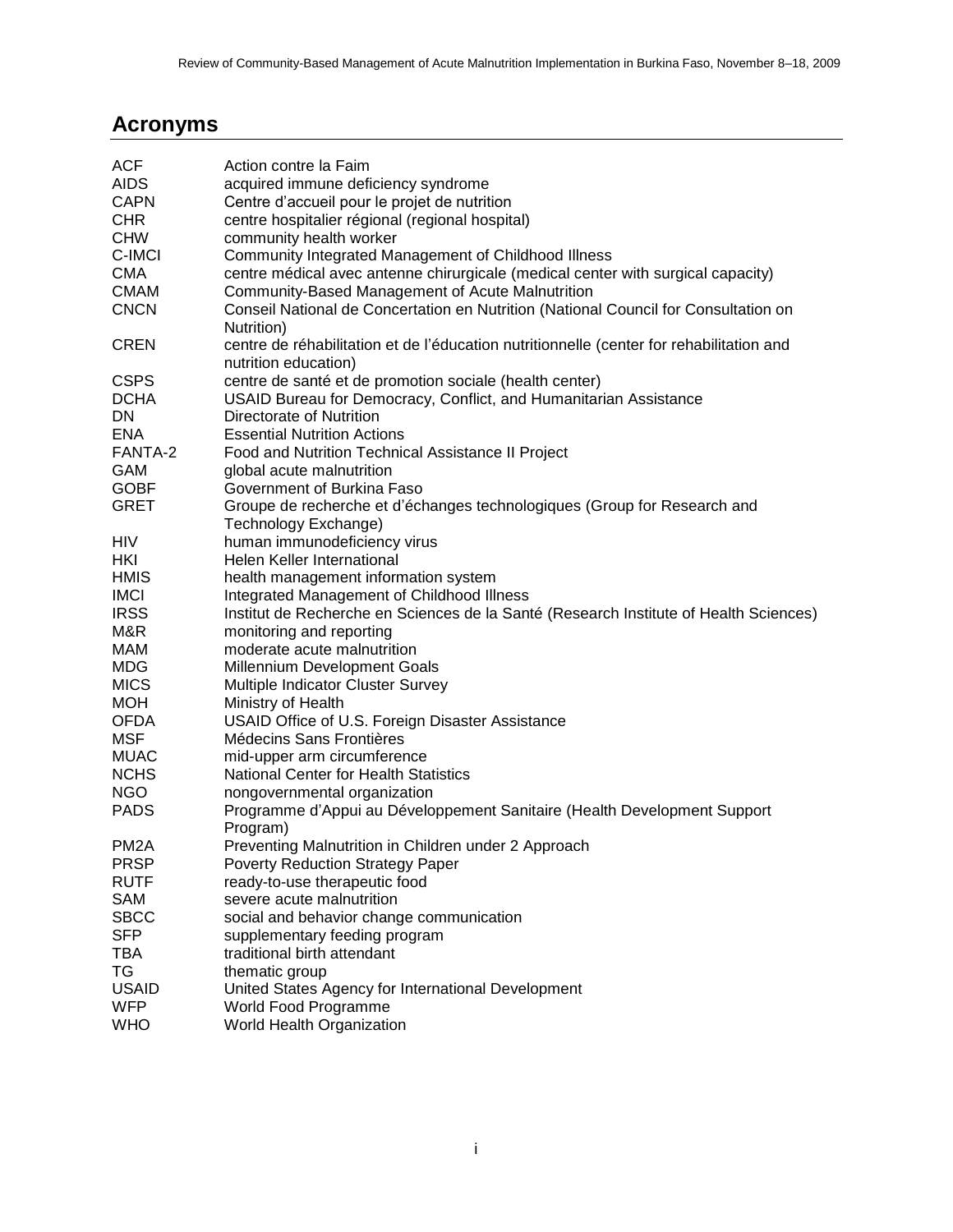| <b>Affiliation</b>                                 | <b>Name</b>               | <b>Position</b>                                                |  |  |
|----------------------------------------------------|---------------------------|----------------------------------------------------------------|--|--|
| <b>Ministry of Health</b>                          |                           |                                                                |  |  |
| MOH                                                | Dr. Sylvestre Tapsoba     | Director, DN                                                   |  |  |
| <b>MOH</b>                                         | Mr Bambara Dominique      | Head of Food Quality Division, DN                              |  |  |
| <b>MOH</b>                                         | <b>Ouili Romeo</b>        | Head dietetic and health                                       |  |  |
| MOH                                                | Prosper Sawadogo          | Epidemiological surveillance division                          |  |  |
| <b>MOH</b>                                         | Mme Helene Ouedraogo      | Dietetic division                                              |  |  |
| <b>MOH</b>                                         | <b>Compaore Roland</b>    | Dietetic division                                              |  |  |
| <b>MOH</b>                                         | Koubore Alain Bambare     | Dietetic division                                              |  |  |
| <b>MOH</b>                                         | Estelle                   |                                                                |  |  |
| MOH - Diapaga                                      |                           | Diapaga CREN and CSPS health<br>staff                          |  |  |
| MOH - Diapaga                                      |                           | Diapaga MOH district - MCD<br>(médecin chef du district)       |  |  |
| MOH - Fada                                         | Dr Yabré Zaccaria         | Fada Regional Director of Health -<br>Deputy                   |  |  |
| MOH - Fada                                         | <b>Gnongre Souleymane</b> | Fada Nutrition and IMCI focal point,<br><b>CMAM</b> trainer    |  |  |
| MOH - Fada                                         | Sana Salam                | Infirmier attaché sanitaire, Fada<br><b>CREN/CHR</b>           |  |  |
| MOH - Fada                                         | Zenabu Ouadraogo          | Nurse, Fada CREN/CHR                                           |  |  |
| MOH - Goursi                                       | Dr Nakoulma Noel          | Goursi Doctor - CMA (Medical center<br>with surgical capacity) |  |  |
| MOH - Goursi                                       | Savadogo Mamouni          | Goursi MOH district, administrator                             |  |  |
| MOH - Goursi                                       | Kavambiri Mamadou         | Goursi Tangaye nurse major CSPS                                |  |  |
| MOH - Kaya                                         | Adama Compaore            | Kaya CHR director administrator                                |  |  |
| MOH - Tougan                                       | Dr Sib Rodrigue           | Tougan Doctor - CHR, and health<br>staff CREN                  |  |  |
| <b>National Research and Training Institutions</b> |                           |                                                                |  |  |
| <b>IRSS</b>                                        | Prof. Blaise Sondo        | Director                                                       |  |  |
| <b>IRSS</b>                                        | Dr Seni Kouanda           | Researcher                                                     |  |  |
| Other                                              |                           |                                                                |  |  |
| <b>Free Consultant</b>                             | <b>Patrick Kabore</b>     | Health and nutrition researcher                                |  |  |